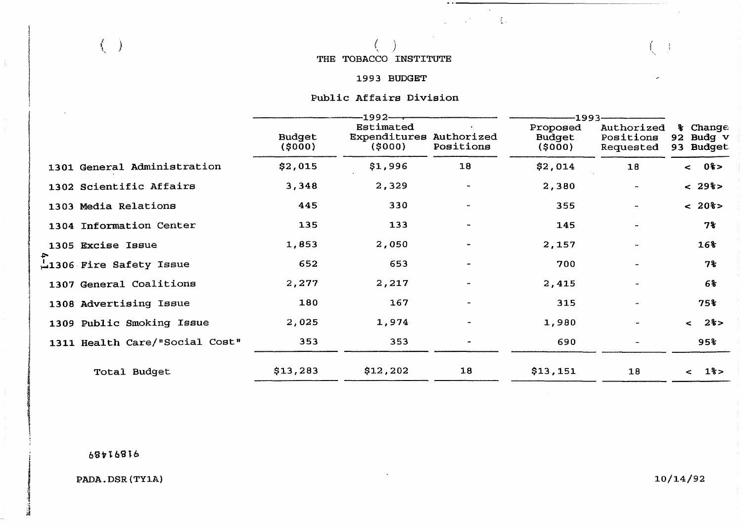**5.** , **THE TOBACCO INSTITUTE** 

#### **1993 BUDGET**

**f4**  tje state i state i state i state i state i state i state i state i state i state i state i state i state i st<br>Desetima i state i state i state i state i state i state i state i state i state i state i state i state i sta

 $\sim$  $\mathbb{R}^{n \times n}$  , where  $\mathbb{C}^{n \times n}$ 

# **Public Affairs Division**

|            |                                | -1992–                  |                                                |                          | -1993                         |                                      |                                    |
|------------|--------------------------------|-------------------------|------------------------------------------------|--------------------------|-------------------------------|--------------------------------------|------------------------------------|
|            |                                | <b>Budget</b><br>(5000) | Estimated<br>Expenditures Authorized<br>(5000) | Positions                | Proposed<br>Budget<br>(\$000) | Authorized<br>Positions<br>Requested | % Change<br>92 Budg v<br>93 Budget |
|            | 1301 General Administration    | \$2,015                 | \$1,996                                        | 18                       | \$2,014                       | 18                                   | $< 0$ 8>                           |
|            | 1302 Scientific Affairs        | 3,348                   | 2,329                                          | $\overline{\phantom{a}}$ | 2,380                         |                                      | $< 29$ 8>                          |
|            | 1303 Media Relations           | 445                     | 330                                            |                          | 355                           |                                      | $< 20$ 8>                          |
|            | 1304 Information Center        | 135                     | 133                                            | $\overline{\phantom{a}}$ | 145                           |                                      | $7\$                               |
|            | 1305 Excise Issue              | 1,853                   | 2,050                                          | $\blacksquare$           | 2,157                         |                                      | 16%                                |
| $\ddot{ }$ | 1306 Fire Safety Issue         | 652                     | 653                                            |                          | 700                           |                                      | 7%                                 |
|            | 1307 General Coalitions        | 2,277                   | 2,217                                          | $\overline{a}$           | 2,415                         |                                      | 6%                                 |
|            | 1308 Advertising Issue         | 180                     | 167                                            |                          | 315                           | $\overline{\phantom{a}}$             | 75%                                |
|            | 1309 Public Smoking Issue      | 2,025                   | 1,974                                          |                          | 1,980                         | $\overline{\phantom{a}}$             | < 28>                              |
|            | 1311 Health Care/"Social Cost" | 353                     | 353                                            |                          | 690                           | $\overline{\phantom{a}}$             | 95%                                |
|            | Total Budget                   | \$13,283                | \$12,202                                       | 18                       | \$13,151                      | 18                                   | $1\frac{6}{5}$<br>$\leq$           |

**bQ+TbSfb** 

 $( )$ 

4

**PADA. DSR (TYlA)** 

 $10/14/92$ 

 $\int\limits_{0}^{x}$  $\frac{1}{2}$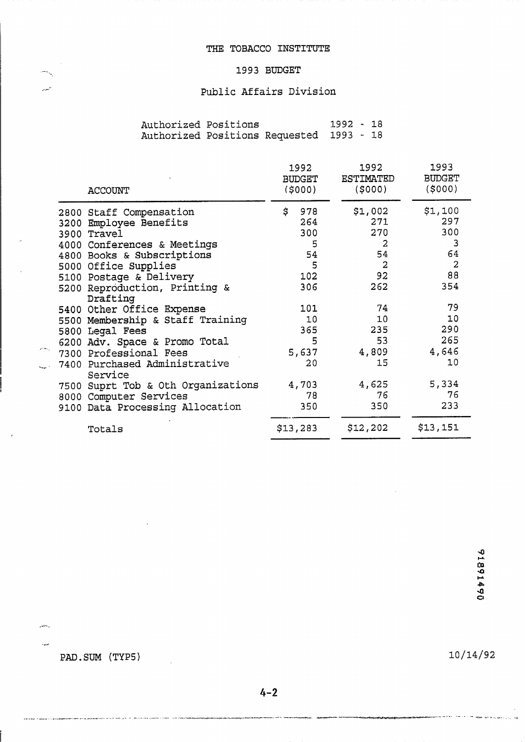# 1993 BUDGET

#### Public Affairs Division

| Authorized Positions |                                          | 1992 - 18 |  |  |
|----------------------|------------------------------------------|-----------|--|--|
|                      | Authorized Positions Requested 1993 - 18 |           |  |  |

| <b>ACCOUNT</b>                            |    | 1992<br><b>BUDGET</b><br>(5000) |  | 1992<br><b>ESTIMATED</b><br>(5000) |  | 1993<br><b>BUDGET</b><br>(\$000) |
|-------------------------------------------|----|---------------------------------|--|------------------------------------|--|----------------------------------|
| 2800 Staff Compensation                   | \$ | 978                             |  | \$1,002                            |  | \$1,100                          |
| 3200 Employee Benefits                    |    | 264                             |  | 271                                |  | 297                              |
| 3900 Travel                               |    | 300                             |  | 270                                |  | 300                              |
| 4000 Conferences & Meetings               |    | 5                               |  | 2                                  |  | 3                                |
| 4800 Books & Subscriptions                |    | 54                              |  | 54                                 |  | 64                               |
| 5000 Office Supplies                      |    | 5                               |  | $\overline{2}$                     |  | $\overline{2}$                   |
| 5100 Postage & Delivery                   |    | 102                             |  | 92                                 |  | 88                               |
| 5200 Reproduction, Printing &<br>Drafting |    | 306                             |  | 262                                |  | 354                              |
| 5400 Other Office Expense                 |    | 101                             |  | 74                                 |  | 79                               |
| 5500 Membership & Staff Training          |    | 10                              |  | 10                                 |  | 10                               |
| 5800 Legal Fees                           |    | 365                             |  | 235                                |  | 290                              |
| 6200 Adv. Space & Promo Total             |    | 5                               |  | 53                                 |  | 265                              |
| 7300 Professional Fees                    |    | 5,637                           |  | 4,809                              |  | 4,646                            |
| 7400 Purchased Administrative<br>Service  |    | 20                              |  | 15                                 |  | 10                               |
| 7500 Suprt Tob & Oth Organizations        |    | 4,703                           |  | 4,625                              |  | 5,334                            |
| 8000 Computer Services                    |    | 78                              |  | 76                                 |  | 76                               |
| 9100 Data Processing Allocation           |    | 350                             |  | 350                                |  | 233                              |
| Totals                                    |    | \$13,283                        |  | \$12,202                           |  | \$13,151                         |

PAD.SUM (TYP5)

يتعير

ببدأ

J,

 $10/14/92$ 

لوادور وبالتولو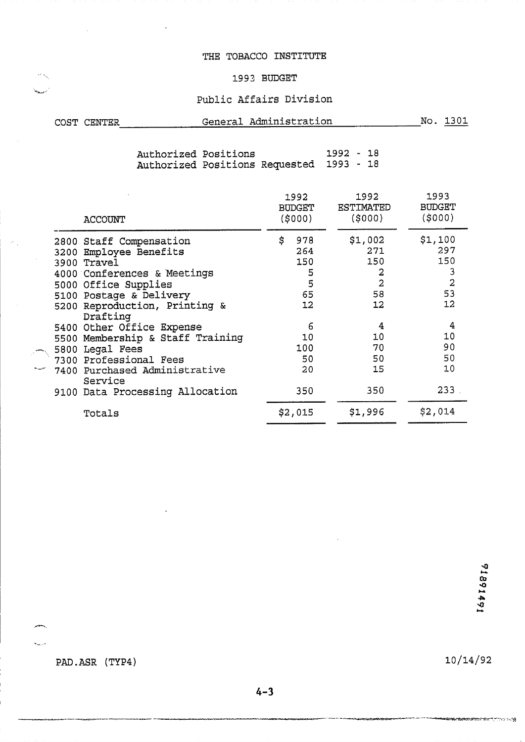#### THE TOBACCO INSTITUTE

#### -. ., **1993 BUDGET**

# Public Affairs Division

| COST CENTER | General Administration | 1301 |
|-------------|------------------------|------|
|             |                        |      |

**Authorized Positions 1992** - **18 Authorized Positions Requested 1993** - **18** 

| <b>ACCOUNT</b>                                                            | 1992<br><b>BUDGET</b><br>(\$000) | 1992<br>ESTIMATED<br>(5000) |                     | 1993<br><b>BUDGET</b><br>(5000) |                     |
|---------------------------------------------------------------------------|----------------------------------|-----------------------------|---------------------|---------------------------------|---------------------|
| 2800 Staff Compensation<br>3200 Employee Benefits<br>3900 Travel          | \$<br>978<br>264<br>150          | \$1,002                     | 271<br>150          | \$1,100<br>297<br>150           |                     |
| 4000 Conferences & Meetings<br>5000 Office Supplies                       | 5<br>5                           |                             | 2<br>$\overline{2}$ |                                 | 3<br>$\overline{a}$ |
| 5100 Postage & Delivery<br>5200 Reproduction, Printing &                  | 65<br>12                         |                             | 58<br>12            |                                 | 53<br>12            |
| Drafting<br>5400 Other Office Expense<br>5500 Membership & Staff Training | 6<br>10                          |                             | 10                  |                                 | 4<br>10             |
| 5800 Legal Fees<br>7300 Professional Fees                                 | 100<br>50                        |                             | 70<br>50            |                                 | 90<br>50            |
| 7400 Purchased Administrative<br>Service                                  | 20                               |                             | 15                  |                                 | 10                  |
| 9100 Data Processing Allocation                                           | 350                              |                             | 350                 |                                 | 233                 |
| Totals                                                                    | \$2,015                          | \$1,996                     |                     | \$2,014                         |                     |

PAD.ASR (TYP4)

.\*.& ..

 $10/14/92$ 

**Anderson Physician Anderson Physician Anderson**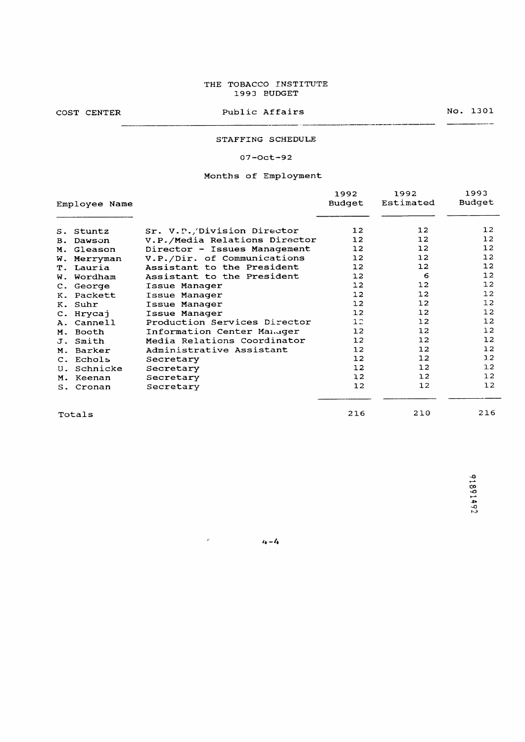#### THE TOBACCO INSTITUTE 1993 BUDGET

COST CENTER

Public Affairs

No. 1301 \_\_\_\_\_\_\_\_\_\_\_\_\_\_\_\_\_\_\_\_

216 210

#### STAFFING SCHEDULE

---

#### $07 - Oct - 92$

#### Months of Employment

|    |               |                               | 1992             | 1992            | 1993            |
|----|---------------|-------------------------------|------------------|-----------------|-----------------|
|    | Employee Name |                               | Budget           | Estimated       | Budget          |
|    |               |                               |                  |                 |                 |
|    | S. Stuntz     | Sr. V.P./Division Director    | 12               | 12 <sub>1</sub> | 12 <sup>2</sup> |
| B. | Dawson        | V.P./Media Relations Director | 12 <sup>2</sup>  | 12              | 12              |
|    | M. Gleason    | Director - Issues Management  | 12 <sub>1</sub>  | 12              | 12              |
| w. | Merryman      | V.P./Dir. of Communications   | 12 <sup>2</sup>  | 12              | 12              |
|    | T. Lauria     | Assistant to the President    | 12 <sub>1</sub>  | 12              | 12              |
| w. | Wordham       | Assistant to the President    | 12 <sup>1</sup>  | 6               | 12              |
|    | C. George     | Issue Manager                 | 12 <sup>2</sup>  | 12              | 12              |
|    | K. Packett    | Issue Manager                 | 12               | 12              | 12              |
|    | K. Suhr       | Issue Manager                 | 12 <sup>°</sup>  | 12              | 12              |
|    | C. Hrycaj     | Issue Manager                 | 12 <sub>1</sub>  | 12              | 12              |
|    | A. Cannell    | Production Services Director  | 12               | 12              | 12              |
|    | M. Booth      | Information Center Manager    | 12 <sup>12</sup> | 12              | 12              |
|    | J. Smith      | Media Relations Coordinator   | 12               | 12              | 12              |
| М. | Barker        | Administrative Assistant      | 12 <sub>1</sub>  | 12              | 1.2             |
|    | C. Echols     | Secretary                     | 12 <sub>1</sub>  | 12              | 1.2             |
|    | U. Schnicke   | Secretary                     | 12               | 12              | 1.2             |
|    | M. Keenan     | Secretary                     | 12 <sub>1</sub>  | 12 <sup>2</sup> | 1.2             |
|    | S. Cronan     | Secretary                     | 12               | 12              | 12              |
|    |               |                               |                  |                 |                 |

Totals

91891492

216

 $4 - 4$ 

 $\omega_{\rm c}$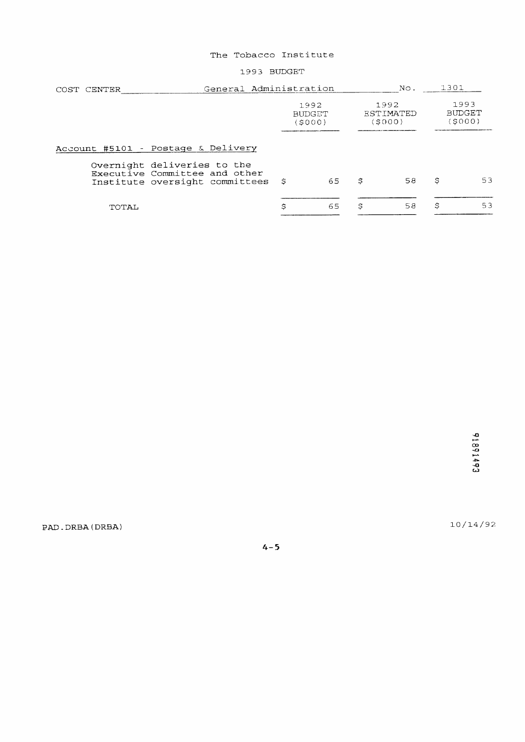1993 BUDGET

| COST CENTER                                                                                    | General Administration          |    |                                   |    | 1301                           |    |
|------------------------------------------------------------------------------------------------|---------------------------------|----|-----------------------------------|----|--------------------------------|----|
|                                                                                                | 1992<br><b>BUDGET</b><br>(SOOO) |    | 1992<br><b>ESTIMATED</b><br>SOOO) |    | 1993<br><b>BUDGET</b><br>SOOO) |    |
| Account #5101 - Postage & Delivery                                                             |                                 |    |                                   |    |                                |    |
| Overnight deliveries to the<br>Executive Committee and other<br>Institute oversight committees | - \$                            | 65 | \$                                | 58 | \$                             | 53 |
| TOTAL                                                                                          | \$                              | 65 | \$                                | 58 | \$                             | 53 |

 $10/14/92$ 

PAD.DRBA(DRBA)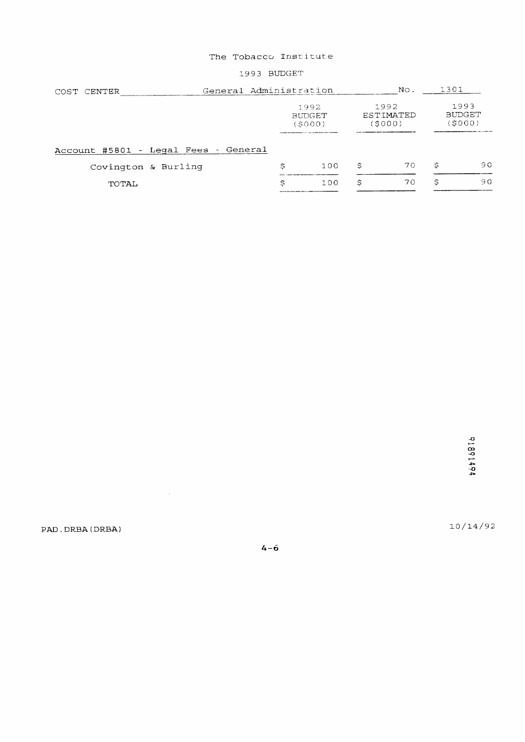#### 1993 BUDGET

| General Administration<br>COST CENTER                                                           |                                      |                              |    | 1301                           |    |
|-------------------------------------------------------------------------------------------------|--------------------------------------|------------------------------|----|--------------------------------|----|
| 1992<br><b>BUDGET</b><br>(S000)<br>NAMES AND DESCRIPTIONS OF REAL PROPERTY OF PERSONS ASSESSED. |                                      | 1992<br>ESTIMATED<br>(\$000) |    | 1993<br><b>BUDGET</b><br>SO(0) |    |
|                                                                                                 |                                      |                              |    |                                |    |
| Ś                                                                                               | 1.00                                 | Ś                            | 70 | \$                             | 90 |
| Ś                                                                                               | 100                                  | Ŝ                            | 70 | Ŝ                              | 90 |
|                                                                                                 | Account #5801 - Legal Fees - General |                              |    | No.                            |    |

 $10/14/92$ 

PAD. DRBA (DRBA)

 $\mathcal{L}^{\text{max}}_{\text{max}}$ 

 $4-\dot{6}$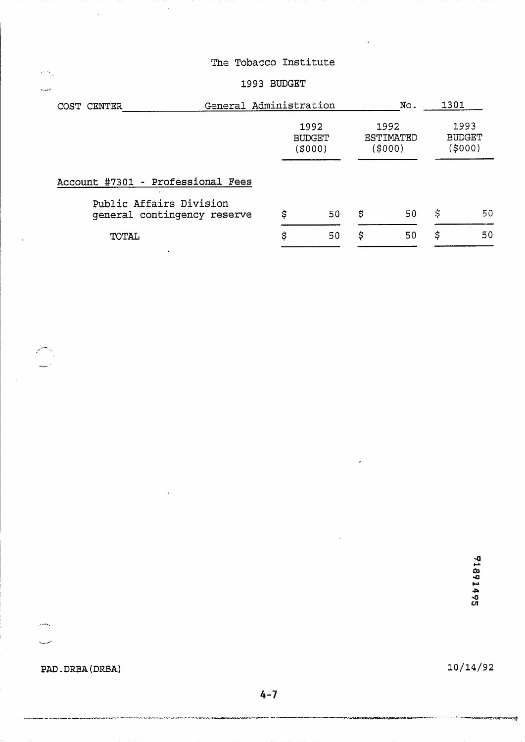# 1993 BUDGET

| COST CENTER |                                                        | General Administration |                                  |    | No.                          | 1301 |                                  |
|-------------|--------------------------------------------------------|------------------------|----------------------------------|----|------------------------------|------|----------------------------------|
|             |                                                        |                        | 1992<br><b>BUDGET</b><br>(\$000) |    | 1992<br>ESTIMATED<br>(\$000) |      | 1993<br><b>BUDGET</b><br>(\$000) |
|             | Account #7301 - Professional Fees                      |                        |                                  |    |                              |      |                                  |
|             | Public Affairs Division<br>qeneral contingency reserve | \$                     | 50                               | \$ | 50                           | Ś    | 50                               |
|             | TOTAL                                                  | \$                     | 50                               | \$ | 50                           | \$   | 50                               |

91891495

**PAD.** DRBA **(DRBA)** 

يتعلم

 $\alpha$   $\sim$  $\hat{h}_{\rm X,AG}$ 

 $10/14/92$ 

وأجلستما بكيما قناطرين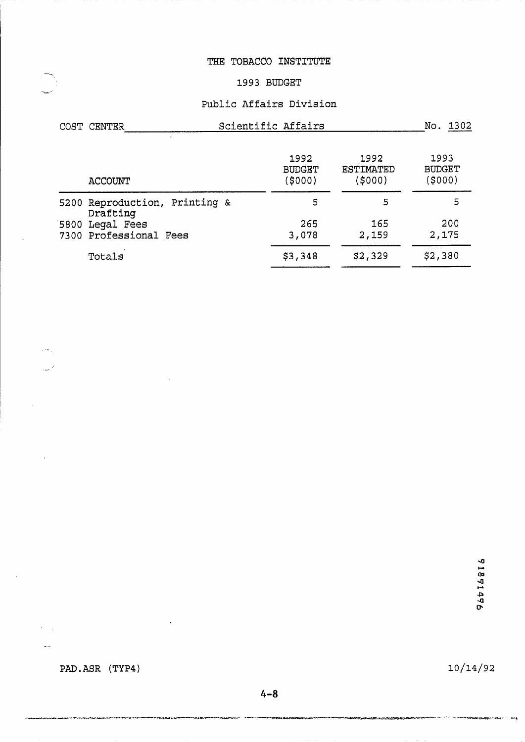#### **THE TOBACCO INSTITUTE**

### **1993 BUDGET**

#### **Public Affairs Division**

| COST CENTER                               | Scientific Affairs               |                                    |                                  |  |  |  |
|-------------------------------------------|----------------------------------|------------------------------------|----------------------------------|--|--|--|
| <b>ACCOUNT</b>                            | 1992<br><b>BUDGET</b><br>(\$000) | 1992<br><b>ESTIMATED</b><br>(5000) | 1993<br><b>BUDGET</b><br>(\$000) |  |  |  |
| 5200 Reproduction, Printing &<br>Drafting | 5                                | 5                                  | 5                                |  |  |  |
| 5800 Legal Fees<br>7300 Professional Fees | 265<br>3,078                     | 165<br>2,159                       | 200<br>2,175                     |  |  |  |
| Totals                                    | \$3,348                          | \$2,329                            | \$2,380                          |  |  |  |

94#16816

PAD.ASR (TYP4)

 $\sqrt{2\pi}$  .

 $\sim$ 

 $\lambda \sim 10$ 

 $\frac{1}{2}$  , we

 $10/14/92$ 

<del>apangang Can</del>celland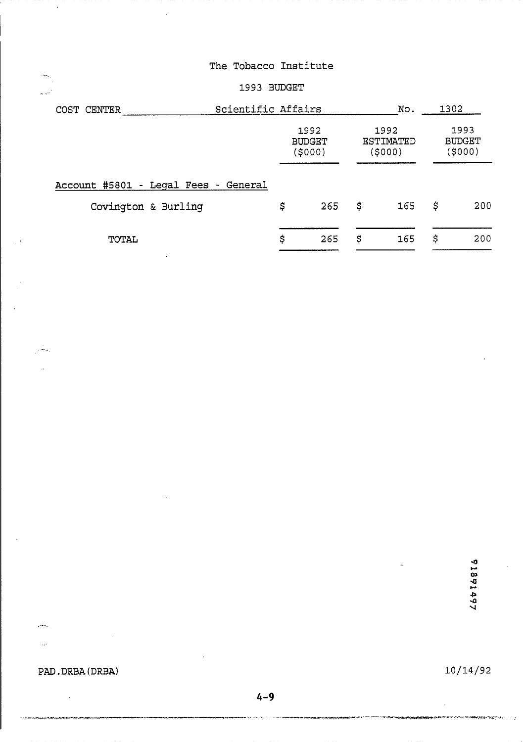# 1993 BUDGET

| COST CENTER                          | Scientific Affairs |                                  |    | No.                                 | 1302 |                                 |  |
|--------------------------------------|--------------------|----------------------------------|----|-------------------------------------|------|---------------------------------|--|
|                                      |                    | 1992<br><b>BUDGET</b><br>(\$000) |    | 1992<br><b>ESTIMATED</b><br>(\$000) |      | 1993<br><b>BUDGET</b><br>(5000) |  |
| Account #5801 - Legal Fees - General |                    |                                  |    |                                     |      |                                 |  |
| Covington & Burling                  | \$                 | 265                              | \$ | 165                                 | \$   | 200                             |  |
| TOTAL                                | \$                 | 265                              | \$ | 165                                 | \$   | 200                             |  |

1891497

PAD.DRBA(DRBA)

 $\ddot{\phantom{a}}$ 

julija.<br>S

 $\bar{\omega}$ 

ina.  $\mathbf{r}$ 

يتقلي

10/14/92

÷,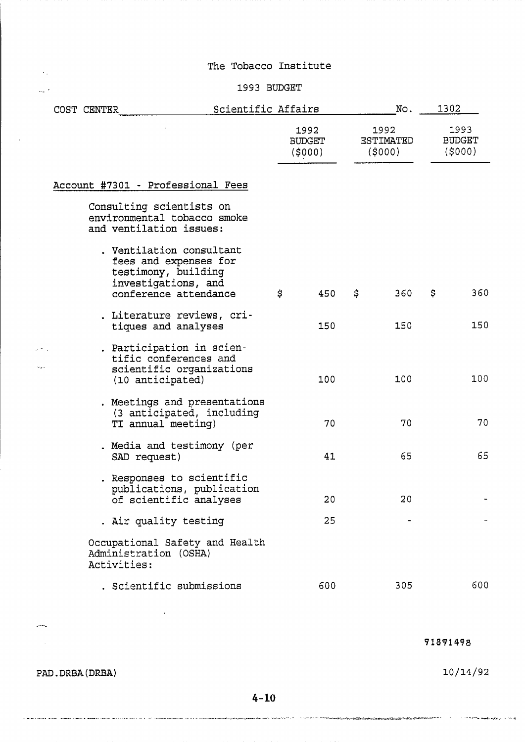#### 1993 BUDGET

|  | COST CENTER |                                                                                                    | Scientific Affairs |    | No.                      |    | 1302                               |    |                                 |
|--|-------------|----------------------------------------------------------------------------------------------------|--------------------|----|--------------------------|----|------------------------------------|----|---------------------------------|
|  |             |                                                                                                    |                    |    | 1992<br>BUDGET<br>(5000) |    | 1992<br><b>ESTIMATED</b><br>(5000) |    | 1993<br><b>BUDGET</b><br>(5000) |
|  |             | Account #7301 - Professional Fees                                                                  |                    |    |                          |    |                                    |    |                                 |
|  |             | Consulting scientists on<br>environmental tobacco smoke<br>and ventilation issues:                 |                    |    |                          |    |                                    |    |                                 |
|  |             | . Ventilation consultant<br>fees and expenses for<br>testimony, building<br>investigations, and    |                    |    |                          |    |                                    |    |                                 |
|  |             | conference attendance                                                                              |                    | \$ | 450                      | \$ | 360                                | \$ | 360                             |
|  |             | . Literature reviews, cri-<br>tiques and analyses                                                  |                    |    | 150                      |    | 150                                |    | 150                             |
|  |             | . Participation in scien-<br>tific conferences and<br>scientific organizations<br>(10 anticipated) |                    |    | 100                      |    | 100                                |    | 100                             |
|  |             | . Meetings and presentations<br>(3 anticipated, including<br>TI annual meeting)                    |                    |    | 70                       |    | 70                                 |    | 70                              |
|  |             | . Media and testimony (per<br>SAD request)                                                         |                    |    | 41                       |    | 65                                 |    | 65                              |
|  |             | . Responses to scientific<br>publications, publication<br>of scientific analyses                   |                    |    | 20                       |    | 20                                 |    |                                 |
|  |             | . Air quality testing                                                                              |                    |    | 25                       |    |                                    |    |                                 |
|  |             | Occupational Safety and Health<br>Administration (OSHA)<br>Activities:                             |                    |    |                          |    |                                    |    |                                 |
|  |             | . Scientific submissions                                                                           |                    |    | 600                      |    | 305                                |    | 600                             |

91891498

PAD. DRBA (DRBA)

 $\omega$ 

 $\mathcal{L}_{\mathcal{A}}$ 

.<br>По подательно создал создания подпользуется в полнение в полнение с создание на создалительно с полнении создания и

 $\sim 10$ 

 $\frac{1}{2\sqrt{2}}$  ,  $\frac{1}{2}$ 

.<br>Antigata automatem forumentera has una

سيب

10/14/92

 $\beta$  , and the complete property  $\beta$  ,  $\beta$  , and  $\beta$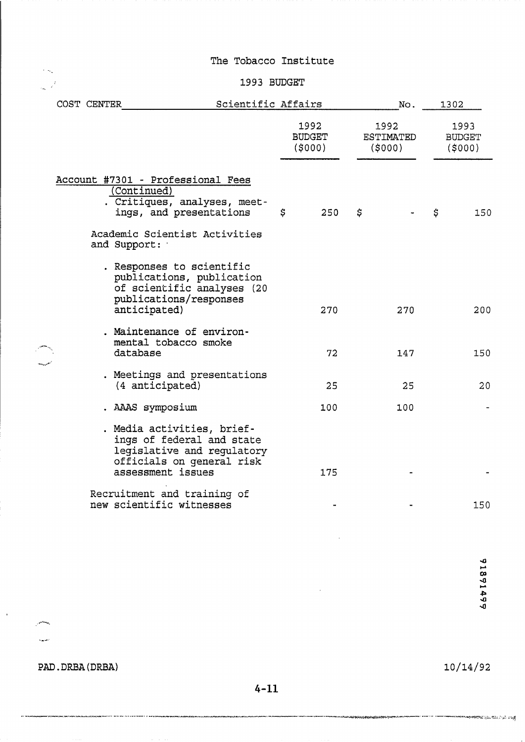#### 1993 BUDGET

| COST CENTER | Scientific Affairs                                                                                                                      |    |                                 |    | No.                                |                                 | 1302 |  |
|-------------|-----------------------------------------------------------------------------------------------------------------------------------------|----|---------------------------------|----|------------------------------------|---------------------------------|------|--|
|             |                                                                                                                                         |    | 1992<br><b>BUDGET</b><br>(5000) |    | 1992<br><b>ESTIMATED</b><br>(5000) | 1993<br><b>BUDGET</b><br>(5000) |      |  |
|             | Account #7301 - Professional Fees<br>(Continued)<br>. Critiques, analyses, meet-<br>ings, and presentations                             | \$ | 250                             | \$ |                                    | \$                              | 150  |  |
|             | Academic Scientist Activities<br>and Support:                                                                                           |    |                                 |    |                                    |                                 |      |  |
|             | . Responses to scientific<br>publications, publication<br>of scientific analyses (20<br>publications/responses<br>anticipated)          |    | 270                             |    | 270                                |                                 | 200  |  |
|             | . Maintenance of environ-<br>mental tobacco smoke<br>database                                                                           |    | 72                              |    | 147                                |                                 | 150  |  |
|             | . Meetings and presentations<br>(4 anticipated)                                                                                         |    | 25                              |    | 25                                 |                                 | 20   |  |
|             | . AAAS symposium                                                                                                                        |    | 100                             |    | 100                                |                                 |      |  |
|             | . Media activities, brief-<br>ings of federal and state<br>legislative and regulatory<br>officials on general risk<br>assessment issues |    | 175                             |    |                                    |                                 |      |  |
|             | Recruitment and training of<br>new scientific witnesses                                                                                 |    |                                 |    |                                    |                                 | 150  |  |

**PAD. DRBA** (DRBA)

.<br>In market recommended a manife

 $\mathbf{r}$ 

يتعلمني  $\bar{u}_\mathrm{in}$  and

 $\sim \kappa_{\rm g}$  $\frac{1}{2\pi} \frac{1}{\sqrt{2}}$ 

 $10/14/92$ 

en een alle suurvanaan konstantia kunstista valg

91891499

 $4 - 11$ 

 $\bar{z}$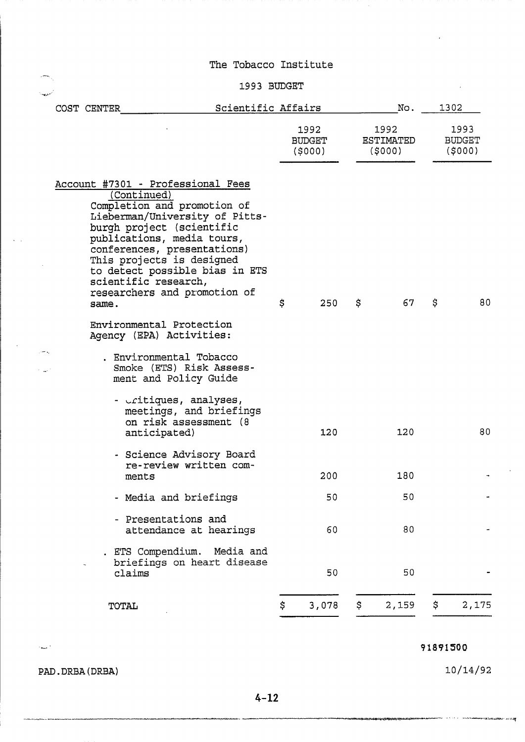# **1993** BUDGET

|  | COST CENTER                                  | Scientific Affairs                                                                                                                                                                                                                                                                          |                                 | No. |                                    |    | 1302                            |
|--|----------------------------------------------|---------------------------------------------------------------------------------------------------------------------------------------------------------------------------------------------------------------------------------------------------------------------------------------------|---------------------------------|-----|------------------------------------|----|---------------------------------|
|  |                                              |                                                                                                                                                                                                                                                                                             | 1992<br><b>BUDGET</b><br>(5000) |     | 1992<br><b>ESTIMATED</b><br>(5000) |    | 1993<br><b>BUDGET</b><br>(5000) |
|  | (Continued)<br>scientific research,<br>same. | Account #7301 - Professional Fees<br>Completion and promotion of<br>Lieberman/University of Pitts-<br>burgh project (scientific<br>publications, media tours,<br>conferences, presentations)<br>This projects is designed<br>to detect possible bias in ETS<br>researchers and promotion of | \$<br>250                       | \$  | 67                                 | \$ | 80                              |
|  |                                              | Environmental Protection<br>Agency (EPA) Activities:<br>. Environmental Tobacco<br>Smoke (ETS) Risk Assess-<br>ment and Policy Guide                                                                                                                                                        |                                 |     |                                    |    |                                 |
|  |                                              | - critiques, analyses,<br>meetings, and briefings<br>on risk assessment (8<br>anticipated)                                                                                                                                                                                                  | 120                             |     | 120                                |    | 80                              |
|  | ments                                        | - Science Advisory Board<br>re-review written com-                                                                                                                                                                                                                                          | 200                             |     | 180                                |    |                                 |
|  |                                              | - Media and briefings                                                                                                                                                                                                                                                                       | 50                              |     | 50                                 |    |                                 |
|  |                                              | - Presentations and<br>attendance at hearings                                                                                                                                                                                                                                               | 60                              |     | 80                                 |    |                                 |
|  | claims                                       | . ETS Compendium. Media and<br>briefings on heart disease                                                                                                                                                                                                                                   | 50                              |     | 50                                 |    |                                 |
|  | <b>TOTAL</b>                                 |                                                                                                                                                                                                                                                                                             | \$<br>3,078                     | \$  | 2,159                              | \$ | 2,175                           |

91891500

PAD. DRBA (DRBA)

 $\sim$ 

 $10/14/92$ 

..-.-.-. **-.--.-...,--s-** --. -- -. ' . -..\*--3i,\*.\*.=<=. **z:::.** 'P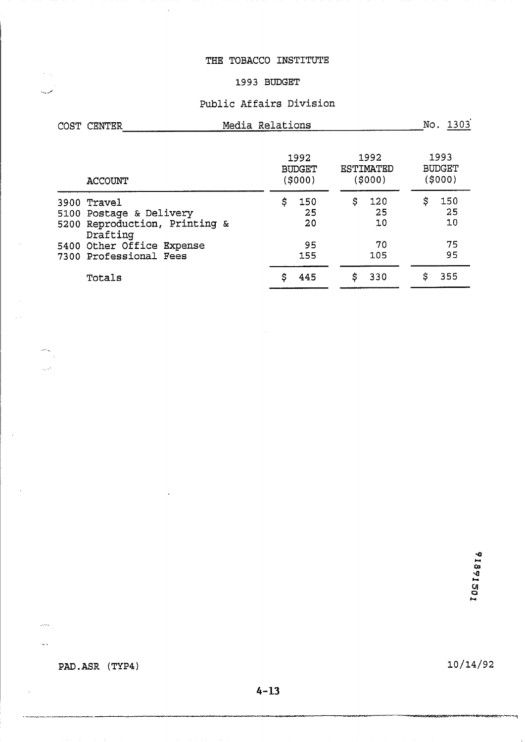# THE TOBACCO INSTITUTE

#### **1993 BUDGET**

# **Public Affairs Division**

| COST CENTER             |                                                          | Media Relations                  |                 | No. 1303 |                             |                                  |
|-------------------------|----------------------------------------------------------|----------------------------------|-----------------|----------|-----------------------------|----------------------------------|
| <b>ACCOUNT</b>          |                                                          | 1992<br><b>BUDGET</b><br>(\$000) |                 |          | 1992<br>ESTIMATED<br>(5000) | 1993<br><b>BUDGET</b><br>(\$000) |
| 3900 Travel<br>Drafting | 5100 Postage & Delivery<br>5200 Reproduction, Printing & | \$                               | 150<br>25<br>20 | \$       | 120<br>25<br>10             | \$<br>150<br>25<br>10            |
|                         | 5400 Other Office Expense<br>7300 Professional Fees      |                                  | 95<br>155       |          | 70<br>105                   | 75<br>95                         |
| Totals                  |                                                          | \$                               | 445             | \$       | 330                         | \$<br>355                        |

91891501

PAD.ASR (TYP4)

 $\mathcal{L}_{\mathcal{M}}$ 

الممديدد

 $\left\langle \frac{\partial}{\partial x} \right\rangle_{\mathcal{H}} = \frac{1}{\sqrt{2\pi}}$  $\hat{\zeta}_k$  as

 $\omega m_{\rm{eff}}$ 

 $\tau_{\rm{max}}$ 

 $\bar{\beta}$ 

10/14/92

**MARKETTE** 

÷.,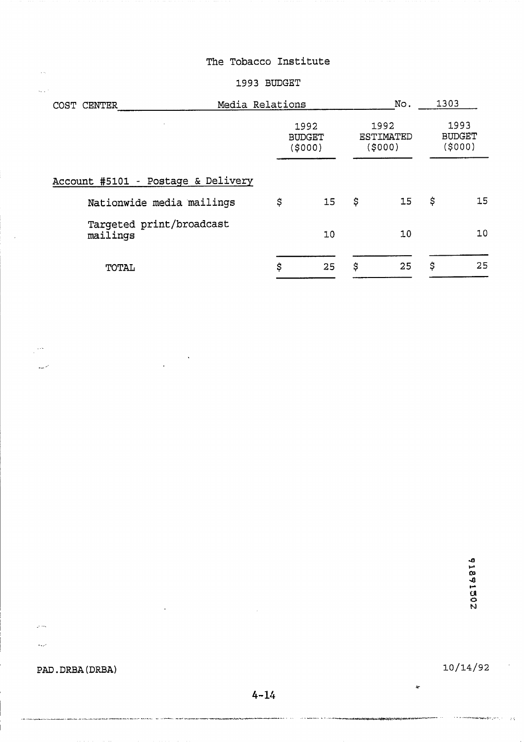#### 1993 BUDGET

| COST<br><b>CENTER</b>                | Media Relations |                                  | No.                                 | 1303<br>1993<br><b>BUDGET</b><br>(5000) |    |
|--------------------------------------|-----------------|----------------------------------|-------------------------------------|-----------------------------------------|----|
|                                      |                 | 1992<br><b>BUDGET</b><br>(\$000) | 1992<br><b>ESTIMATED</b><br>(\$000) |                                         |    |
| Account #5101 - Postage & Delivery   |                 |                                  |                                     |                                         |    |
| Nationwide media mailings            | \$              | 15                               | \$<br>15                            | \$                                      | 15 |
| Targeted print/broadcast<br>mailings |                 | 10                               | 10                                  |                                         | 10 |
| TOTAL                                | \$              | 25                               | \$<br>25                            | \$                                      | 25 |

**PAD.** DRBA (DRBA)

.<br>In the component construction of the construction of the construction of the construction of the construction

. ...

 $\bar{\psi}_{\mu\nu}$ 

 $\hat{\beta}$  .

 $\zeta_{\rm{2}}/\zeta_{\rm{2}}$ 

 $\mathbb{R}^{1,1}$ 

المريد

 $10/14/92$ 

 $\epsilon$  is a constant matrix of  $\epsilon$  , i.e.  $\epsilon$  ,  $\epsilon$ 

 $\approx$ 

.<br>Eksterationerisk

 $\bar{\beta}$ 

 $\pm 5$ 

. . . . . .

 $\mathcal{A}$  is satisfied as a concept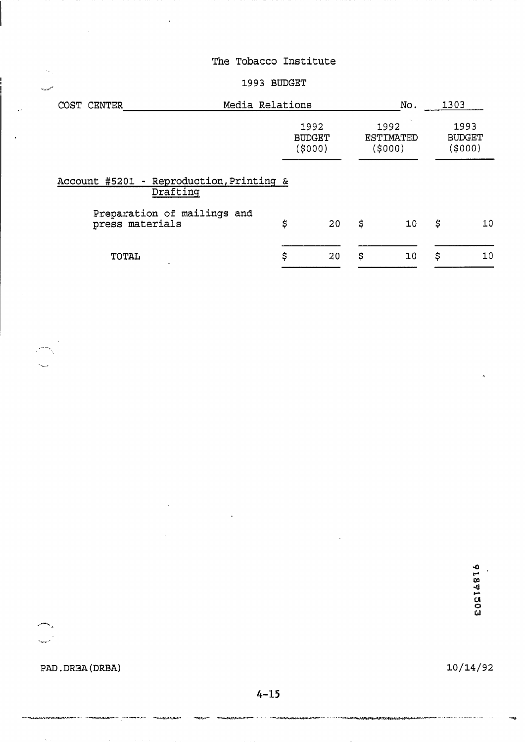### ...,./ **1993** BUDGET

| Media Relations<br>COST CENTER                       |                                                                 |    | No.                      | 1303 |                                  |
|------------------------------------------------------|-----------------------------------------------------------------|----|--------------------------|------|----------------------------------|
|                                                      | 1992<br>1992<br>ESTIMATED<br><b>BUDGET</b><br>(5000)<br>(\$000) |    | $\overline{\phantom{a}}$ |      | 1993<br><b>BUDGET</b><br>(\$000) |
| Account #5201 - Reproduction, Printing &<br>Drafting |                                                                 |    |                          |      |                                  |
| Preparation of mailings and<br>press materials       | \$<br>20                                                        | \$ | 10                       | \$   | 10                               |
| TOTAL<br>$\cdot$                                     | \$<br>20                                                        | \$ | 10                       | \$   | 10                               |

91891503

PAD. DRBA **(DRBA)** 

بالعبي

.<br>Geboortes

 $\sim$  .

يتعجل

 $10/14/92$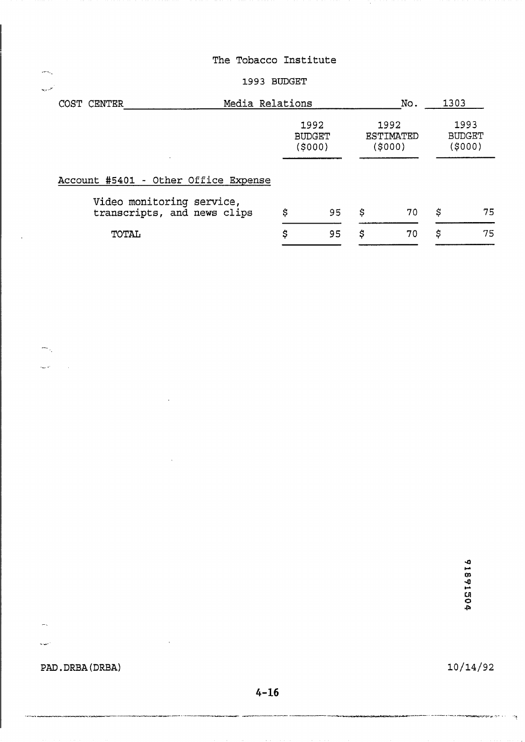#### **1993** BUDGET

| المحاربين |                                                          |                 |                                  |                              |      |                                  |
|-----------|----------------------------------------------------------|-----------------|----------------------------------|------------------------------|------|----------------------------------|
|           | COST CENTER                                              | Media Relations |                                  | No.                          | 1303 |                                  |
|           |                                                          |                 | 1992<br><b>BUDGET</b><br>(\$000) | 1992<br>ESTIMATED<br>(\$000) |      | 1993<br><b>BUDGET</b><br>(\$000) |
|           | Account #5401 - Other Office Expense                     |                 |                                  |                              |      |                                  |
|           | Video monitoring service,<br>transcripts, and news clips | \$              | 95                               | \$<br>70                     | \$   | 75                               |
|           | TOTAL                                                    | \$              | 95                               | \$<br>70                     | \$   | 75                               |

91891504

**PAD. DRBA** ( **DRBA)** 

.- .

 $\left\langle \omega_{\rm{S}}\right\rangle _{\rm{S}}$ 

 $\frac{1}{\sqrt{2}}$ 

أفاريده

...-- '

 $10/14/92$ 

 $\mathcal{A}_{\frac{1}{2}}$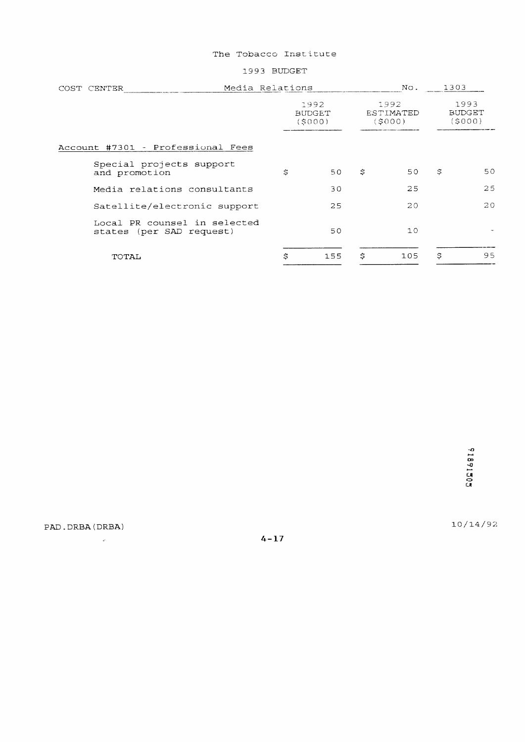1993 BUDGET

| COST CENTER |               |                                                          | Media Relations |                                 |   | No.                                | 1303 |                                 |
|-------------|---------------|----------------------------------------------------------|-----------------|---------------------------------|---|------------------------------------|------|---------------------------------|
|             |               |                                                          |                 | 1992<br><b>BUDGET</b><br>(5000) |   | 1992<br><b>ESTIMATED</b><br>(S000) |      | 1993<br><b>BUDGET</b><br>(5000) |
|             |               | Account #7301 - Professional Fees                        |                 |                                 |   |                                    |      |                                 |
|             | and promotion | Special projects support                                 | S               | 50                              | S | 50                                 | Ŝ    | 50                              |
|             |               | Media relations consultants                              |                 | 30                              |   | 25                                 |      | 25                              |
|             |               | Satellite/electronic support                             |                 | 25                              |   | 20                                 |      | 20                              |
|             |               | Local PR counsel in selected<br>states (per SAD request) |                 | 50                              |   | 10                                 |      |                                 |
|             | TOTAL         |                                                          | \$              | 155                             | S | 105                                | \$   | 95                              |

PAD. DRBA (DRBA)

 $\label{eq:2.1} \frac{1}{\sqrt{2}}\int_{0}^{\pi} \frac{1}{\sqrt{2}}\,d\mu\,d\mu\,.$ 

 $4 - 17$ 

 $10/14/92$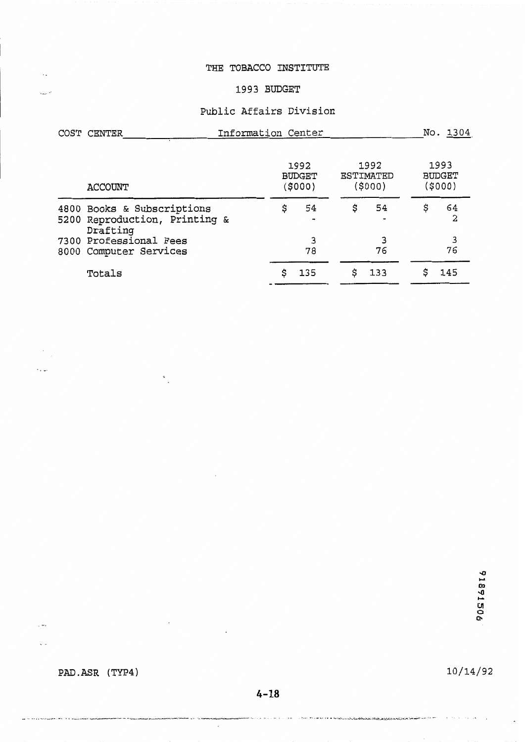#### **THE TOBACCO INSTITUTE**

# **1993 BUDGET**

#### **Public Affairs Division**

| COST CENTER                                                             | Information Center               |    |         |    |                              |    | No. 1304                         |
|-------------------------------------------------------------------------|----------------------------------|----|---------|----|------------------------------|----|----------------------------------|
| <b>ACCOUNT</b>                                                          | 1992<br><b>BUDGET</b><br>(\$000) |    |         |    | 1992<br>ESTIMATED<br>(\$000) |    | 1993<br><b>BUDGET</b><br>(\$000) |
| 4800 Books & Subscriptions<br>5200 Reproduction, Printing &<br>Drafting |                                  | \$ | 54      | \$ | 54                           | \$ | 64<br>2                          |
| 7300 Professional Fees<br>8000 Computer Services                        |                                  |    | 3<br>78 |    | 76                           |    | 3<br>76                          |
| Totals                                                                  |                                  | \$ | 135     | \$ | 133                          | \$ | 145                              |

PAD.ASR (TYP4)

 $\bar{\mathcal{A}}$ 

 $\mathbf{L}$ 

 $\bar{\phantom{a}}$ 

 $\ddotsc$ 

 $\ddotsc$ 

 $\sqrt{2}$ 

an in and provinciation are a movement of

10/14/92

 $\lambda \rightarrow 0$ 

 $4 - 18$ 

 $\sigma(\cdot)$  , as  $\sigma(\cdot)$  , we are a set

 $\mathcal{A}$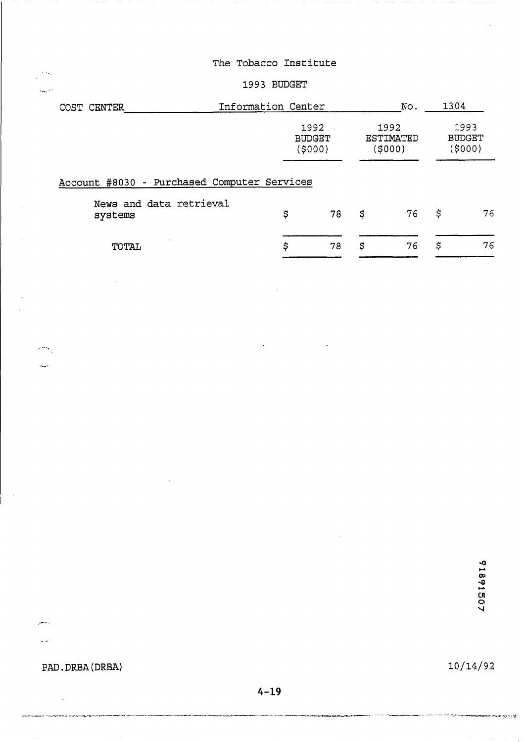### **1993 BUDGET**

| COST CENTER                                 | Information Center |                                                                 |    | No. | 1304                            |    |
|---------------------------------------------|--------------------|-----------------------------------------------------------------|----|-----|---------------------------------|----|
|                                             |                    | 1992<br>1992<br><b>BUDGET</b><br>ESTIMATED<br>(\$000)<br>(5000) |    |     | 1993<br><b>BUDGET</b><br>(5000) |    |
| Account #8030 - Purchased Computer Services |                    |                                                                 |    |     |                                 |    |
| News and data retrieval<br>systems          | \$                 | 78                                                              | \$ | 76  | \$                              | 76 |
| TOTAL                                       | \$                 | 78                                                              | \$ | 76  | \$                              | 76 |

**PAD. DRBA (DRBA)** 

 $\mathcal{L}$ 

رياحين

المرابية

 $\frac{1}{2}$  ,  $\frac{1}{2}$  ,  $\mathcal{L}_{\text{max}}$  .

بالمحتر

 $10/14/92$ 

.<br>**Analysis (Calify** and Ca

 $4 - 19$ 

and a street

ومالوه المالية وورود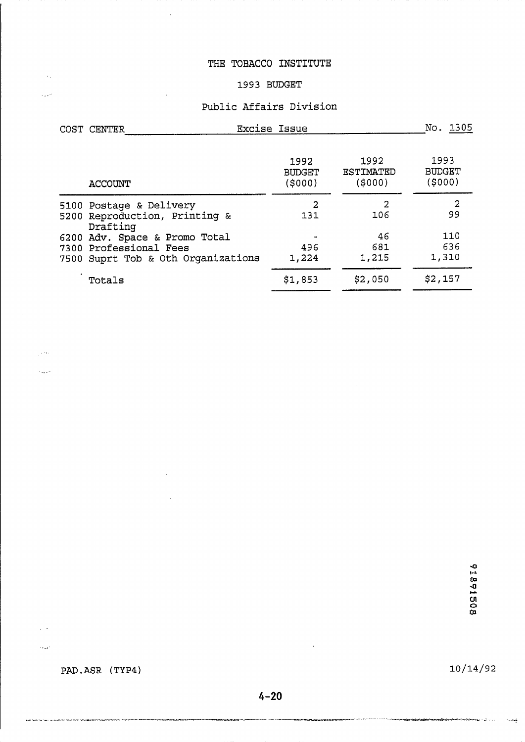#### **THE TOBACCO INSTITUTE**

 $\overline{a}$ 

 $\bar{\mathcal{A}}$ 

 $\sim$ 

للمرد

 $\frac{1}{2}$  , see

 $\hat{\mathcal{L}}_{\text{max}}$ 

 $\sim$   $\sim$ 

 $\tau_{\rm max}$  .

# **1993 BUDGET**

# **Public Affairs Division**

| COST CENTER                                                                                               | <b>Excise Issue</b>               |                                    | No. 1305                         |
|-----------------------------------------------------------------------------------------------------------|-----------------------------------|------------------------------------|----------------------------------|
| <b>ACCOUNT</b>                                                                                            | 1992<br><b>BUDGET</b><br>( \$000) | 1992<br><b>ESTIMATED</b><br>(5000) | 1993<br><b>BUDGET</b><br>(\$000) |
| 5100 Postage & Delivery<br>5200 Reproduction, Printing &                                                  | 2<br>131                          | 2<br>106                           | 2<br>99                          |
| Drafting<br>6200 Adv. Space & Promo Total<br>7300 Professional Fees<br>7500 Suprt Tob & Oth Organizations | 496<br>1,224                      | 46<br>681<br>1,215                 | 110<br>636<br>1,310              |
| Totals                                                                                                    | \$1,853                           | \$2,050                            | \$2,157                          |

 $\mathcal{A}^{\mathcal{A}}$ 

91891508

PAD.ASR (TYP4)

.<br>איז אל השאתל למרות באים אישית שהתקשונות הבין אביבות השלושית בין השרבים השירות הבין בשנים, בין - במשך השיר

 $10/14/92$ 

 $\sim$   $-$ 

 $4 - 20$ 

,,,,,,,,,,,,,,,,,,,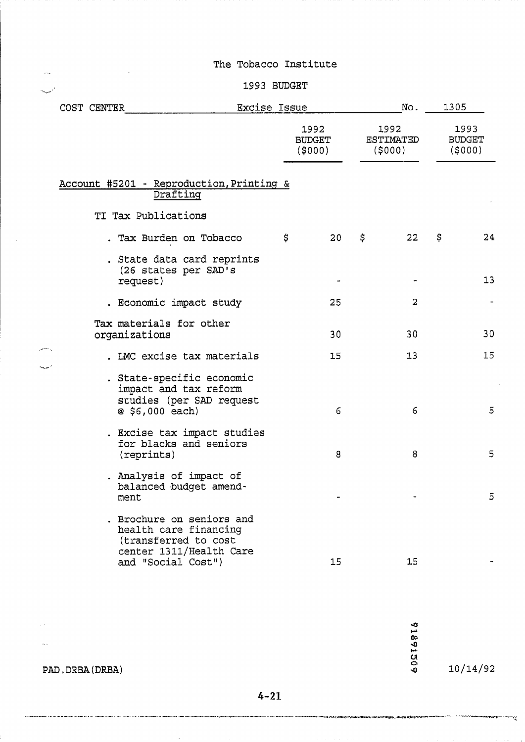$\sim$  .

 $\frac{1}{2}$  $\mathcal{L}_{\text{target}}(x) = \frac{1}{2} \sum_{i=1}^{n} \left( \frac{1}{2} \sum_{j=1}^{n} \frac{1}{2} \right)^2$ 

 $\mathbb{R}^2$ 

#### 1993 BUDGET

|                   | Excise Issue<br>COST CENTER |  |                                                                                                                             |  | No.                             |    | 1305 |                                    |    |                                 |
|-------------------|-----------------------------|--|-----------------------------------------------------------------------------------------------------------------------------|--|---------------------------------|----|------|------------------------------------|----|---------------------------------|
|                   |                             |  |                                                                                                                             |  | 1992<br><b>BUDGET</b><br>(5000) |    |      | 1992<br><b>ESTIMATED</b><br>(5000) |    | 1993<br><b>BUDGET</b><br>(5000) |
|                   |                             |  | Account #5201 - Reproduction, Printing &<br>Drafting                                                                        |  |                                 |    |      |                                    |    |                                 |
|                   |                             |  | TI Tax Publications                                                                                                         |  |                                 |    |      |                                    |    |                                 |
|                   |                             |  | . Tax Burden on Tobacco                                                                                                     |  | \$                              | 20 | \$   | 22                                 | \$ | 24                              |
|                   |                             |  | . State data card reprints<br>(26 states per SAD's<br>request)                                                              |  |                                 |    |      |                                    |    | 13                              |
|                   |                             |  | . Economic impact study                                                                                                     |  |                                 | 25 |      | 2                                  |    |                                 |
|                   |                             |  | Tax materials for other<br>organizations                                                                                    |  |                                 | 30 |      | 30                                 |    | 30                              |
| المواسع المستوفية |                             |  | . LMC excise tax materials                                                                                                  |  |                                 | 15 |      | 13                                 |    | 15                              |
|                   |                             |  | . State-specific economic<br>impact and tax reform<br>studies (per SAD request<br>@ \$6,000 each)                           |  |                                 | 6  |      | 6                                  |    | 5                               |
|                   |                             |  | . Excise tax impact studies<br>for blacks and seniors<br>(reprints)                                                         |  |                                 | 8  |      | 8                                  |    | 5                               |
|                   |                             |  | . Analysis of impact of<br>balanced budget amend-<br>ment                                                                   |  |                                 |    |      |                                    |    | 5                               |
|                   |                             |  | . Brochure on seniors and<br>health care financing<br>(transferred to cost<br>center 1311/Health Care<br>and "Social Cost") |  |                                 | 15 |      | 15                                 |    |                                 |

91891509

<br><sub></sup></sub>

 $10/14/92$ 

**Communications** 

PAD. DRBA (DRBA)

.<br>1999 - Johannes

.<br>Anglich Marie – Leiner and Human Marie Alex

.. ,

 $\sqrt{s}$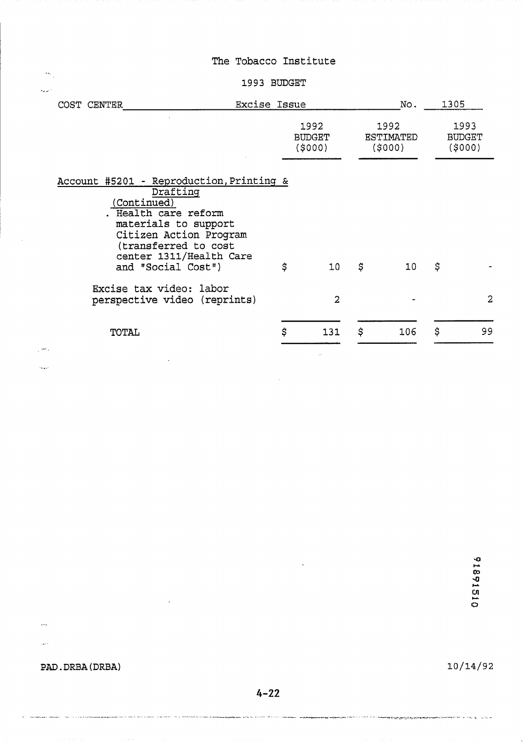#### **1993 BUDGET**

|                                                                                                     |              | No. |                                    |                |
|-----------------------------------------------------------------------------------------------------|--------------|-----|------------------------------------|----------------|
| 1992<br><b>BUDGET</b><br>(5000)                                                                     |              |     | 1993<br><b>BUDGET</b><br>(5000)    |                |
| \$<br>10 <sub>1</sub><br>$\overline{2}$                                                             | \$           | 10  | \$                                 | $\overline{2}$ |
| \$<br>131                                                                                           | \$           | 106 | \$                                 | 99             |
| Account #5201 - Reproduction, Printing &<br>center 1311/Health Care<br>perspective video (reprints) | Excise Issue |     | 1992<br><b>ESTIMATED</b><br>(5000) | 1305           |

91891510

**PAD. DRBA** (DRBA)

.<br>Anders III en de la de la marca de

...-

بمعاد

 $\hat{\mathbf{z}}_k$ 

-, ,

 $10/14/92$ 

ال - " و المستخدمات المستويات المستخدمات المستخدم المستخدمات المستخدمات المستخدمات المستخدمات المستخدمات المستخدمة

 $4 - 22$ 

.<br>Consideration of the contractive contractive contractive contractive contractive constructions of the contractive contractive consideration of the contractive consideration of the contractive consideration of the contrac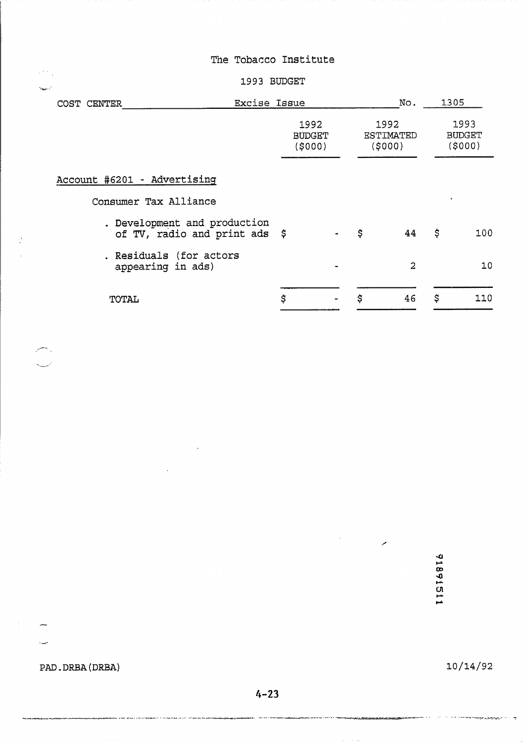#### **1993** BUDGET

| Excise Issue<br>COST CENTER                                   |                                 | No.                         | 1305                            |
|---------------------------------------------------------------|---------------------------------|-----------------------------|---------------------------------|
|                                                               | 1992<br><b>BUDGET</b><br>(5000) | 1992<br>ESTIMATED<br>(5000) | 1993<br><b>BUDGET</b><br>(5000) |
| Account #6201 - Advertising                                   |                                 |                             |                                 |
| Consumer Tax Alliance                                         |                                 |                             | $\cdot$                         |
| . Development and production<br>of TV, radio and print ads \$ |                                 | \$<br>44                    | \$<br>100                       |
| . Residuals (for actors<br>appearing in ads)                  |                                 | $\overline{2}$              | 10                              |
| TOTAL                                                         | \$                              | \$<br>46                    | \$<br>110                       |

11891511

 $\mathcal{L}^{\text{max}}_{\text{max}}$ 

# PAD. DRBA (DRBA)

يتعلق

جندة

 $\mathcal{L}^{(k)}$  ,  $\sim$ 

 $\mathbb{Z}^3$ 

راياتهم أسمعت وينو

 $10/14/92$ 

 $4 - 23$ 

 $\sim 10^{11}$  km s  $^{-1}$ 

 $\bar{\mathcal{A}}$ 

.<br>Stuppingsmakter in der versie in der Linderstadt in der Statischen der Linderstadten Menschen (en Statischen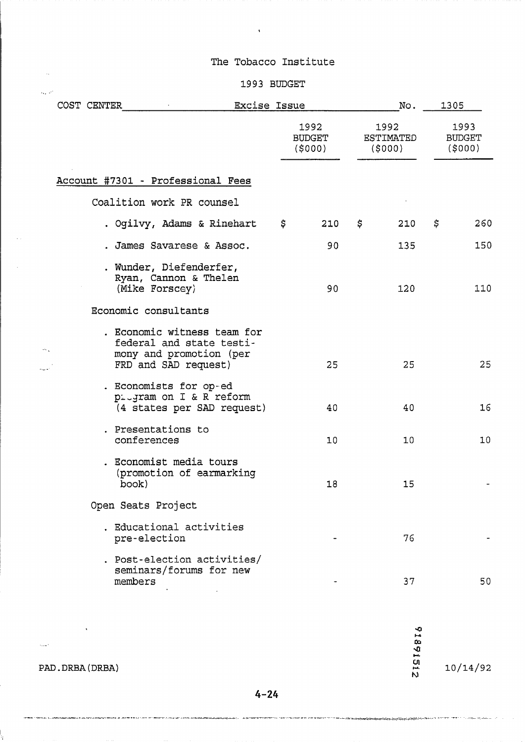$\ddot{\phantom{1}}$ 

# $\sim$  1993 BUDGET

| COST CENTER |                                                                                                            | Excise Issue |                                 |                                     | No. | 1305                            |     |  |
|-------------|------------------------------------------------------------------------------------------------------------|--------------|---------------------------------|-------------------------------------|-----|---------------------------------|-----|--|
|             |                                                                                                            |              | 1992<br><b>BUDGET</b><br>(5000) | 1992<br><b>ESTIMATED</b><br>(\$000) |     | 1993<br><b>BUDGET</b><br>(5000) |     |  |
|             | Account #7301 - Professional Fees                                                                          |              |                                 |                                     |     |                                 |     |  |
|             | Coalition work PR counsel                                                                                  |              |                                 |                                     |     |                                 |     |  |
|             | . Ogilvy, Adams & Rinehart                                                                                 | \$           | 210                             | \$                                  | 210 | \$.                             | 260 |  |
|             | . James Savarese & Assoc.                                                                                  |              | 90                              |                                     | 135 |                                 | 150 |  |
|             | . Wunder, Diefenderfer,<br>Ryan, Cannon & Thelen<br>(Mike Forscey)                                         |              | 90                              |                                     | 120 |                                 | 110 |  |
|             | Economic consultants                                                                                       |              |                                 |                                     |     |                                 |     |  |
|             | . Economic witness team for<br>federal and state testi-<br>mony and promotion (per<br>FRD and SAD request) |              | 25                              |                                     | 25  |                                 | 25  |  |
|             | . Economists for op-ed<br>pitgram on I & R reform<br>(4 states per SAD request)                            |              | 40                              |                                     | 40  |                                 | 16  |  |
|             | . Presentations to<br>conferences                                                                          |              | 10                              |                                     | 10  |                                 | 10  |  |
|             | . Economist media tours<br>(promotion of earmarking<br>book)                                               |              | 18                              |                                     | 15  |                                 |     |  |
|             | Open Seats Project                                                                                         |              |                                 |                                     |     |                                 |     |  |
|             | . Educational activities<br>pre-election                                                                   |              |                                 |                                     | 76  |                                 |     |  |
|             | . Post-election activities/<br>seminars/forums for new<br>members                                          |              |                                 |                                     | 37  |                                 | 50  |  |

91891512

 $10/14/92$ 

**PAD.** DRBA (DRBA)

 $\mathcal{L}(\mathcal{L})$  ,  $\mathcal{L}(\mathcal{L})$  ,

. .

l.<br>V

 $\sim$   $\sim$ 

 $\sim$  .

المريد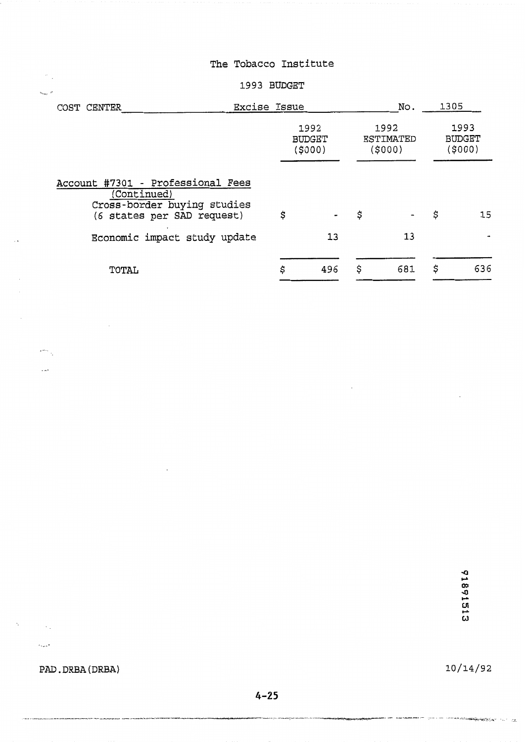#### **1993** BUDGET

| COST CENTER                                                                                                   | Excise Issue |                                  |    |                             |    | 1305                            |
|---------------------------------------------------------------------------------------------------------------|--------------|----------------------------------|----|-----------------------------|----|---------------------------------|
|                                                                                                               |              | 1992<br><b>BUDGET</b><br>(\$000) |    | 1992<br>ESTIMATED<br>(5000) |    | 1993<br><b>BUDGET</b><br>(5000) |
| Account #7301 - Professional Fees<br>(Continued)<br>Cross-border buying studies<br>(6 states per SAD request) | \$           |                                  | \$ |                             | \$ | 15                              |
| Economic impact study update                                                                                  |              | 13                               |    | 13                          |    |                                 |
| TOTAL                                                                                                         | \$           | 496                              | \$ | 681                         | \$ | 636                             |

 $\mathcal{L}_{\mathcal{A}}$ 

91891513

**PAD. DRBA (DRBA)** 

.<br>The class teachers the product model and selected and the company of the production of the product of the selected and and an anti-

 $\sim$   $\sim$ 

 $\overline{\phantom{a}}$ 

, ... . .

 $\sim 10$ 

 $\Delta \sim 1$ 

 $\bar{\nu}_{\rm opt}$   $^{\mu}$ 

 $\star$  and  $\sim$  $\mathcal{L}$ 

 $\mathcal{S}_{\mathcal{A}}$ 

10/14/92

ет полно со местополното полноте на селото на предстанува на президентите на полноте на полното со селото со селото на полноте полното на селото на полното селото на селото на полноте н<br>Населението на селото на селото на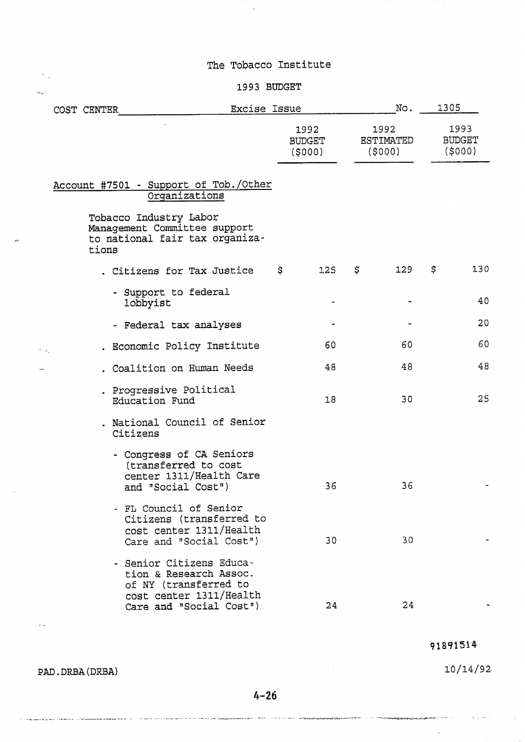$\Delta$ 

#### 1993 BUDGET

|               | COST CENTER | <b>Excise Issue</b>                                                                                                               |                                 | No.                                | 1305                            |
|---------------|-------------|-----------------------------------------------------------------------------------------------------------------------------------|---------------------------------|------------------------------------|---------------------------------|
|               |             |                                                                                                                                   | 1992<br><b>BUDGET</b><br>(5000) | 1992<br><b>ESTIMATED</b><br>(5000) | 1993<br><b>BUDGET</b><br>(5000) |
|               |             | Account #7501 - Support of Tob./Other<br>Organizations                                                                            |                                 |                                    |                                 |
|               | tions       | Tobacco Industry Labor<br>Management Committee support<br>to national fair tax organiza-                                          |                                 |                                    |                                 |
|               |             | . Citizens for Tax Justice                                                                                                        | \$<br>1.25                      | \$<br>129                          | \$<br>130                       |
|               | lobbyist    | - Support to federal                                                                                                              |                                 |                                    | 40                              |
|               |             | - Federal tax analyses                                                                                                            |                                 |                                    | 20                              |
| $\sim$ $\sim$ |             | . Economic Policy Institute                                                                                                       | 60                              | 60                                 | 60                              |
|               |             | . Coalition on Human Needs                                                                                                        | 48                              | 48                                 | 48                              |
|               |             | . Progressive Political<br>Education Fund                                                                                         | 18                              | 30                                 | 25                              |
|               | Citizens    | . National Council of Senior                                                                                                      |                                 |                                    |                                 |
|               |             | - Congress of CA Seniors<br>(transferred to cost<br>center 1311/Health Care<br>and "Social Cost")                                 | 36                              | 36                                 |                                 |
|               |             | - FL Council of Senior<br>Citizens (transferred to<br>cost center 1311/Health<br>Care and "Social Cost")                          | 30                              | 30                                 |                                 |
|               |             | - Senior Citizens Educa-<br>tion & Research Assoc.<br>of NY (transferred to<br>cost center 1311/Health<br>Care and "Social Cost") | 24                              | 24                                 |                                 |

91891514

 $\lambda$ 

 $10/14/92$ 

 $\bar{\gamma} = \bar{\gamma} \sigma$  .

PAD.DRBA(DRBA)

 $\mathcal{F}_{\mathcal{A}}$  $\hat{a}_{\rm{max}}$  .

 $\bar{\alpha}$ 

 $\mathcal{A}^{\text{max}}_{\text{max}}$  , where

a a manasan meny tahunomanan kalikutanan dia matanan menye penyerana kana kana kana kana kana menyerana di menyerang kana mana di mengang kana menyerana menyerana menyerana di menyerana menyerana di menyerana di menyerana

 $\sim$   $\sim$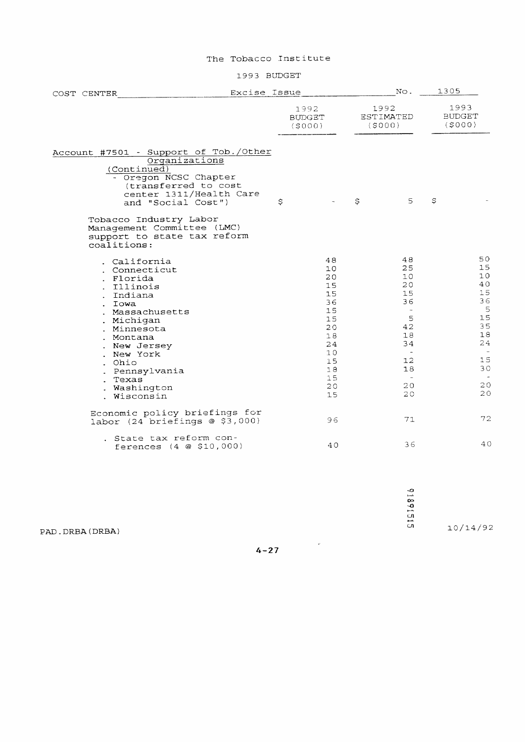1993 BUDGET

| COST CENTER                                                                                                                                                                                                                                      | Excise Issue                    |    |                                                                                                     |    | No.                                                                                                                    |                                 | 1305                                                                                                  |
|--------------------------------------------------------------------------------------------------------------------------------------------------------------------------------------------------------------------------------------------------|---------------------------------|----|-----------------------------------------------------------------------------------------------------|----|------------------------------------------------------------------------------------------------------------------------|---------------------------------|-------------------------------------------------------------------------------------------------------|
|                                                                                                                                                                                                                                                  | 1992<br><b>BUDGET</b><br>(5000) |    |                                                                                                     |    | 1992<br>ESTIMATED<br>(5000)                                                                                            | 1993<br><b>BUDGET</b><br>(5000) |                                                                                                       |
| Account #7501 - Support of Tob./Other<br>Organizations<br>(Continued)<br>- Oregon NCSC Chapter<br>(transferred to cost<br>center 1311/Health Care<br>and "Social Cost")<br>Tobacco Industry Labor                                                |                                 | \$ |                                                                                                     | \$ | 5                                                                                                                      | S                               |                                                                                                       |
| Management Committee (LMC)<br>support to state tax reform<br>coalitions:                                                                                                                                                                         |                                 |    |                                                                                                     |    |                                                                                                                        |                                 |                                                                                                       |
| . California<br>. Connecticut<br>. Florida<br>. Illinois<br>. Indiana<br>. Iowa<br>. Massachusetts<br>. Michigan<br>. Minnesota<br>. Montana<br>. New Jersey<br>. New York<br>. Ohio<br>. Pennsylvania<br>. Texas<br>. Washington<br>. Wisconsin |                                 |    | 48<br>10<br>20<br>15<br>15<br>36<br>15<br>15<br>20<br>18<br>24<br>10<br>15<br>1.8<br>15<br>20<br>15 |    | 48<br>25<br>10<br>20<br>15<br>36<br>$\sim$<br>5<br>42<br>18<br>34<br>$\overline{\phantom{a}}$<br>12<br>18<br>20.<br>20 |                                 | 50<br>15<br>$10^{-}$<br>40<br>15<br>36<br>5<br>15<br>35<br>18<br>24<br>$\sim$<br>15<br>30<br>20<br>20 |
| Economic policy briefings for<br>labor $(24)$ briefings @ \$3,000)                                                                                                                                                                               |                                 |    | 96                                                                                                  |    | 71                                                                                                                     |                                 | 72                                                                                                    |
| . State tax reform con-<br>ferences (4 @ \$10,000)                                                                                                                                                                                               |                                 |    | 40                                                                                                  |    | 36                                                                                                                     |                                 | 40                                                                                                    |

PAD. **DRBA** (DRBA)

 $4 - 27$ 

 $\langle \rangle$   $\sigma$ 

**-0 C-L 9 C-.**  Ln **rr-**

u1 10/14/92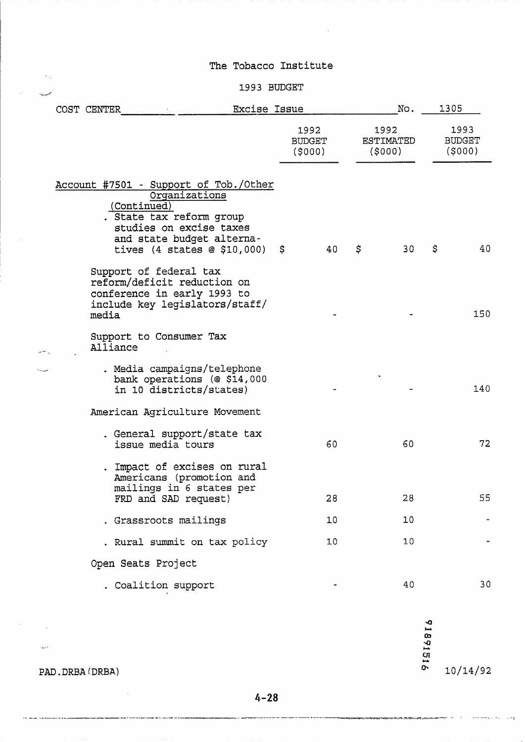# 1993 BUDGET

|  | Excise Issue<br>COST CENTER                                                                                                                                                                       |   |                                 |                                     | No. |                                 | 1305 |
|--|---------------------------------------------------------------------------------------------------------------------------------------------------------------------------------------------------|---|---------------------------------|-------------------------------------|-----|---------------------------------|------|
|  |                                                                                                                                                                                                   |   | 1992<br><b>BUDGET</b><br>(5000) | 1992<br><b>ESTIMATED</b><br>(\$000) |     | 1993<br><b>BUDGET</b><br>(5000) |      |
|  | Account #7501 - Support of Tob./Other<br>Organizations<br>(Continued)<br>. State tax reform group<br>studies on excise taxes<br>and state budget alterna-<br>tives $(4 \text{ states } @ 10,000)$ | S | 40                              | \$                                  | 30  | \$                              | 40   |
|  | Support of federal tax<br>reform/deficit reduction on<br>conference in early 1993 to<br>include key legislators/staff/<br>media                                                                   |   |                                 |                                     |     |                                 | 150  |
|  | Support to Consumer Tax<br>Alliance                                                                                                                                                               |   |                                 |                                     |     |                                 |      |
|  | . Media campaigns/telephone<br>bank operations (@ \$14,000<br>in 10 districts/states)                                                                                                             |   |                                 |                                     |     |                                 | 140  |
|  | American Agriculture Movement                                                                                                                                                                     |   |                                 |                                     |     |                                 |      |
|  | . General support/state tax<br>issue media tours                                                                                                                                                  |   | 60                              |                                     | 60  |                                 | 72   |
|  | . Impact of excises on rural<br>Americans (promotion and<br>mailings in 6 states per<br>FRD and SAD request)                                                                                      |   | 28                              |                                     | 28  |                                 | 55   |
|  | . Grassroots mailings                                                                                                                                                                             |   | 10                              |                                     | 10  |                                 |      |
|  | . Rural summit on tax policy                                                                                                                                                                      |   | 10                              |                                     | 10  |                                 |      |
|  | Open Seats Project                                                                                                                                                                                |   |                                 |                                     |     |                                 |      |
|  | . Coalition support                                                                                                                                                                               |   |                                 |                                     | 40  |                                 | 30   |

91891816  $10/14/92$ 

> al al  $\bar{\lambda}$

.<br>1977 - Paris Maria de La Carlo de California de Carlo III (no parte de 1

where  $\hat{a}_{\text{max}}$  ,  $\hat{a}_{\text{max}}$ 

 $\sim$   $^{11}$ 

PAD.DRBA(DRBA)

 $\sim$ 

.<br>Manazarta T. Kathirin kaki kama da ki kacamatan da man

 $\lambda_{\rm max} = 1$ 

 $\bar{z}_{\rm max}$ 

.<br>The company distribution and the almost

 $\sim$  ,

 $\label{eq:1} \gamma_{\sigma_{\rm{th},1},\rm{d}}=e^{i\theta}$ 

 $\mathcal{L}_{\mathrm{in}}$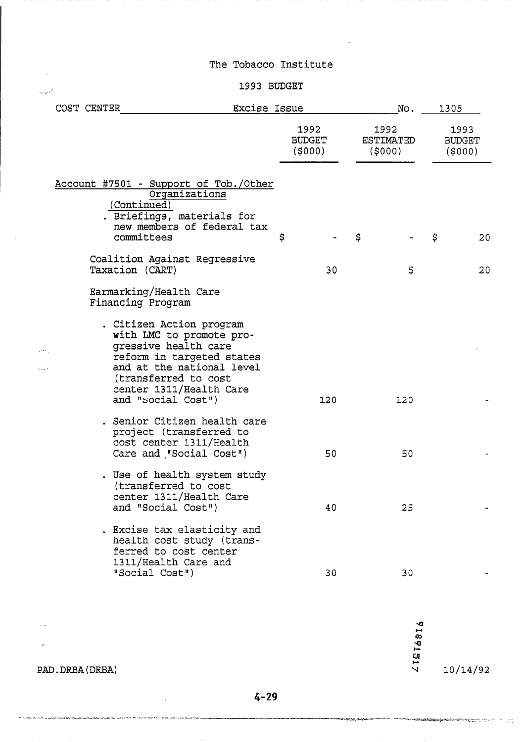# . -.:.' 1993 BUDGET

|  | COST CENTER |  |                                                                                                                                                                                                                                                                | Excise Issue |                          |    | No.                                | 1305                            |    |
|--|-------------|--|----------------------------------------------------------------------------------------------------------------------------------------------------------------------------------------------------------------------------------------------------------------|--------------|--------------------------|----|------------------------------------|---------------------------------|----|
|  |             |  |                                                                                                                                                                                                                                                                |              | 1992<br>BUDGET<br>(5000) |    | 1992<br><b>ESTIMATED</b><br>(5000) | 1993<br><b>BUDGET</b><br>(5000) |    |
|  |             |  | Account #7501 - Support of Tob./Other<br>Organizations<br>(Continued)<br>. Briefings, materials for<br>new members of federal tax<br>committees                                                                                                                | \$           |                          | \$ |                                    | \$                              | 20 |
|  |             |  | Coalition Against Regressive<br>Taxation (CART)                                                                                                                                                                                                                |              | 30                       |    | 5                                  |                                 | 20 |
|  |             |  | Earmarking/Health Care<br>Financing Program<br>. Citizen Action program<br>with LMC to promote pro-<br>gressive health care<br>reform in targeted states<br>and at the national level<br>(transferred to cost<br>center 1311/Health Care<br>and "social Cost") |              | 120                      |    | 120                                |                                 |    |
|  |             |  | . Senior Citizen health care<br>project (transferred to<br>cost center 1311/Health<br>Care and "Social Cost")<br>. Use of health system study                                                                                                                  |              | 50                       |    | 50                                 |                                 |    |
|  |             |  | (transferred to cost<br>center 1311/Health Care<br>and "Social Cost")                                                                                                                                                                                          |              | 40                       |    | 25                                 |                                 |    |
|  |             |  | . Excise tax elasticity and<br>health cost study (trans-<br>ferred to cost center<br>1311/Health Care and<br>"Social Cost")                                                                                                                                    |              | 30                       |    | 30                                 |                                 |    |

91891517

 $10/14/92$ 

PAD. DRBA (DRBA)

THIS INTERNATIONAL PARTICULARS INCOME.

 $\mathcal{L}^{\mathcal{L}}$ 

.<br>Ala schullat d'autorit de 1977 et : le prime des 1 a 1 de secuente est de 10 control del

 $\sim$   $\sim$ 

 $\ddot{\phantom{a}}$ 

 $\ddot{\phantom{a}}$ 

بار فروق در برای میشود و از این معادلات ب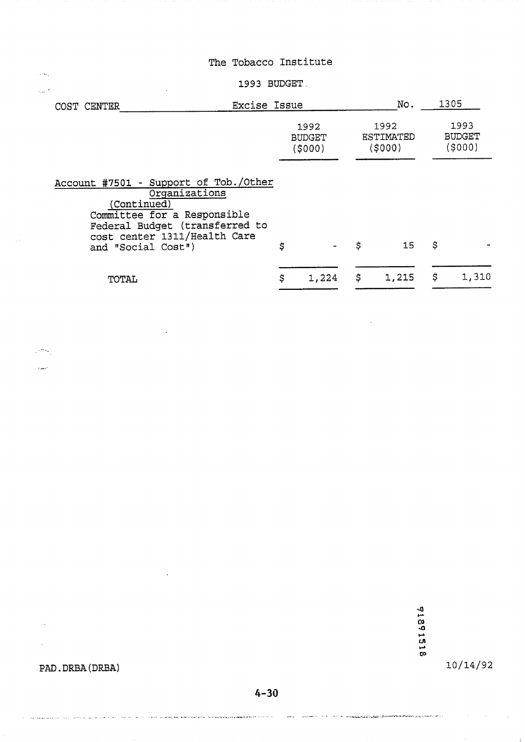#### **1993 BUDGET.**

| COST CENTER                                                                                                                                                                                  | <b>Excise Issue</b>             |                                | No.                          | 1305                             |
|----------------------------------------------------------------------------------------------------------------------------------------------------------------------------------------------|---------------------------------|--------------------------------|------------------------------|----------------------------------|
|                                                                                                                                                                                              | 1992<br><b>BUDGET</b><br>(5000) |                                | 1992<br>ESTIMATED<br>(\$000) | 1993<br><b>BUDGET</b><br>(\$000) |
| Account #7501 - Support of Tob./Other<br>Organizations<br>(Continued)<br>Committee for a Responsible<br>Federal Budget (transferred to<br>cost center 1311/Health Care<br>and "Social Cost") | \$                              | \$<br>$\overline{\phantom{a}}$ | 15                           | \$                               |

\$

1,224

 $$1,215$ 

 $\boldsymbol{\xi}$ 

1,310

**TOTAL** 

 $\langle \cdot \rangle_{\rm eq}$  $\tau_{\rm{max}}$  .

 $\sim$ أنبهها

91891518

statement of the common company and application of the common of the common of the common of the common and th<br>Section of the common common and the common of the common common and the common of the common common and the c

 $10/14/92$ 

# **PAD. DRBA (DRBA)**

 $\sim$ 

 $\bar{z}$ 

بالأنافذ للمحتفظ

.<br>The first of the top property product the first section of the first section of the first section of the first

.<br>The contract of the secretary in the Schwart and A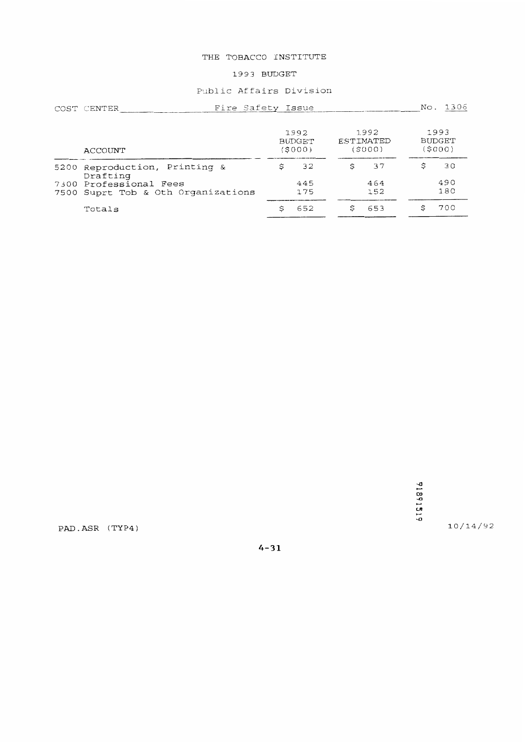#### THE TOBACCO INSTITUTE

#### 1993 BUDGET

#### Public Affairs Division

|      | Fire Safety Issue<br>COST CENTER                        |                                 |   |                             | No. | 1306                             |
|------|---------------------------------------------------------|---------------------------------|---|-----------------------------|-----|----------------------------------|
|      | ACCOUNT                                                 | 1992<br><b>BUDGET</b><br>(5000) |   | 1992<br>ESTIMATED<br>(S000) |     | 1993<br><b>BUDGET</b><br>[\$000] |
|      | 5200 Reproduction, Printing &<br>Drafting               | 32                              |   | 37                          | Ŝ   | 30                               |
| 7500 | 7300 Professional Fees<br>Suprt Tob & Oth Organizations | 445<br>175                      |   | 464<br>152                  |     | 490<br>180                       |
|      | Totals                                                  | 652                             | Ŝ | 653                         | S   | 700                              |

91891519

 $10/14/92$ 

PAD.ASR (TYP4)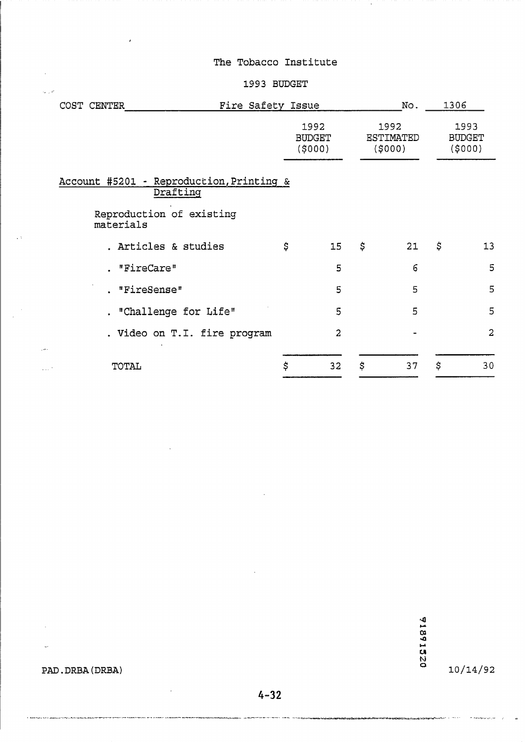$\ddot{\phantom{0}}$ 

#### **1993 BUDGET**

| COST CENTER |               |                                                                                  | Fire Safety Issue |                                 | No.                                | 1306                            |
|-------------|---------------|----------------------------------------------------------------------------------|-------------------|---------------------------------|------------------------------------|---------------------------------|
|             |               |                                                                                  |                   | 1992<br><b>BUDGET</b><br>(5000) | 1992<br><b>ESTIMATED</b><br>(5000) | 1993<br><b>BUDGET</b><br>(5000) |
|             | materials     | Account #5201 - Reproduction, Printing &<br>Drafting<br>Reproduction of existing |                   |                                 |                                    |                                 |
|             |               | . Articles & studies                                                             |                   | \$<br>15                        | \$<br>21                           | \$<br>13                        |
|             | "FireCare"    |                                                                                  |                   | 5                               | 6                                  | 5                               |
|             | . "FireSense" |                                                                                  |                   | 5                               | 5                                  | 5                               |
|             |               | . "Challenge for Life"                                                           |                   | 5                               | 5                                  | 5                               |
|             |               | . Video on T.I. fire program                                                     |                   | $\overline{a}$                  |                                    | $\overline{2}$                  |
| a a c       | <b>TOTAL</b>  |                                                                                  |                   | \$<br>32                        | \$<br>37                           | \$<br>30                        |

 $10/14/92$ 

.<br>Tirkamboongo <sub>s</sub>aa

**PAD.** DRBA (DRBA)

 $\ddot{\phantom{1}}$ 

 $\bar{z}$ 

 $\downarrow$ 

 $\mathcal{L}_{\mathcal{L}}$ 

 $\hat{\phi}$  ,  $\hat{\phi}$ 

 $\mathbb{Z}^2$ 

 $\mathcal{L}$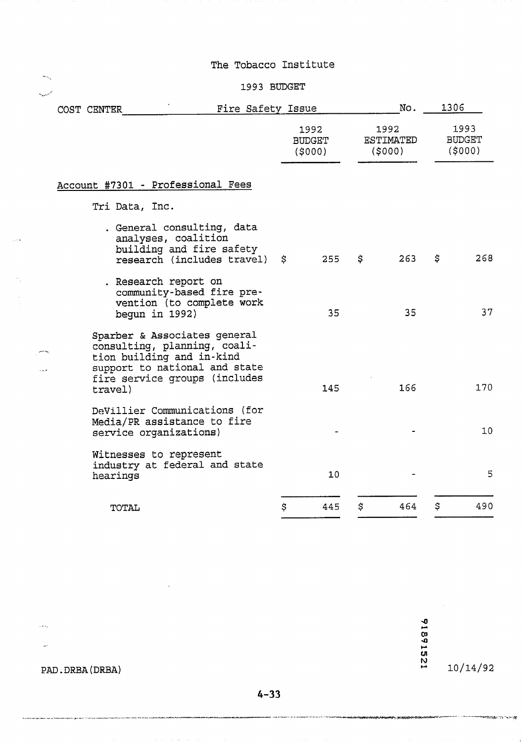#### 1993 BUDGET

| COST CENTER                                                                                                                                                            | Fire Safety Issue |                                 |    | No.                                | 1306 |                                 |
|------------------------------------------------------------------------------------------------------------------------------------------------------------------------|-------------------|---------------------------------|----|------------------------------------|------|---------------------------------|
|                                                                                                                                                                        |                   | 1992<br><b>BUDGET</b><br>(5000) |    | 1992<br><b>ESTIMATED</b><br>(5000) |      | 1993<br><b>BUDGET</b><br>(5000) |
| Account #7301 - Professional Fees                                                                                                                                      |                   |                                 |    |                                    |      |                                 |
| Tri Data, Inc.                                                                                                                                                         |                   |                                 |    |                                    |      |                                 |
| . General consulting, data<br>analyses, coalition<br>building and fire safety<br>research (includes travel)                                                            | \$                | 255                             | \$ | 263                                | \$   | 268                             |
| . Research report on<br>community-based fire pre-<br>vention (to complete work<br>begun in $1992$ )                                                                    |                   | 35                              |    | 35                                 |      | 37                              |
| Sparber & Associates general<br>consulting, planning, coali-<br>tion building and in-kind<br>support to national and state<br>fire service groups (includes<br>travel) |                   | 145                             |    | 166                                |      | 170                             |
| DeVillier Communications (for<br>Media/PR assistance to fire<br>service organizations)                                                                                 |                   |                                 |    |                                    |      | 10                              |
| Witnesses to represent<br>industry at federal and state<br>hearings                                                                                                    |                   | 10 <sub>1</sub>                 |    |                                    |      | 5                               |
| TOTAL                                                                                                                                                                  | \$                | 445                             | \$ | 464                                | \$   | 490                             |

12214816

 $10/14/92$ 

en e communista de la Tenita

 $\sim$ 

PAD. DRBA (DRBA)

 $\mathbb{R}^2$ 

esi mm. Air Aireann

. " ..

 $\bar{\omega}$ 

ر<br>س

والمرا

----

.<br>International for product of Marine Bart

.<br>\*\*\*\*\*\*\*\*\*\*\*\*\*\*\*\*

ويور بموجع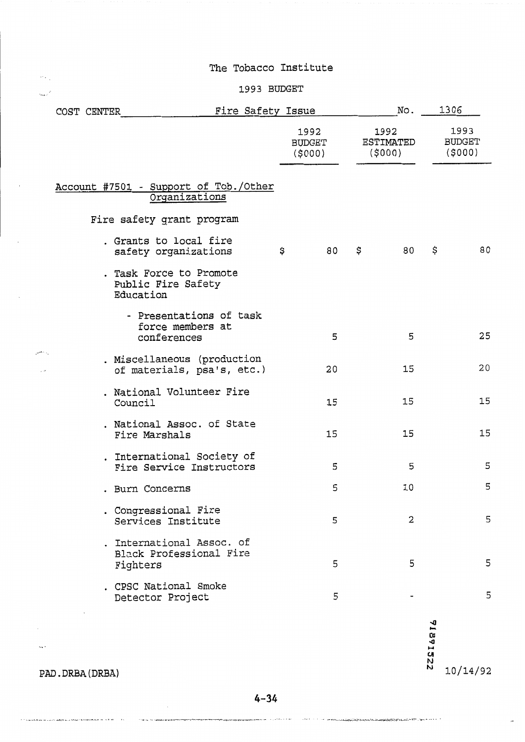# **,.-** 1993 BUDGET

|      |                  | COST CENTER | Fire Safety Issue                                                |                          | No.                         |          | 1306                            |
|------|------------------|-------------|------------------------------------------------------------------|--------------------------|-----------------------------|----------|---------------------------------|
|      |                  |             |                                                                  | 1992<br>BUDGET<br>(5000) | 1992<br>ESTIMATED<br>(5000) |          | 1993<br><b>BUDGET</b><br>(5000) |
|      |                  |             | Account #7501 - Support of Tob./Other<br>Organizations           |                          |                             |          |                                 |
|      |                  |             | Fire safety grant program                                        |                          |                             |          |                                 |
|      |                  |             | . Grants to local fire<br>safety organizations                   | \$<br>80                 | \$<br>80                    | \$       | 80                              |
|      |                  |             | . Task Force to Promote<br>Public Fire Safety<br>Education       |                          |                             |          |                                 |
|      |                  |             | - Presentations of task<br>force members at<br>conferences       | 5                        | 5                           |          | 25                              |
|      |                  |             | . Miscellaneous (production<br>of materials, psa's, etc.)        | 20                       | 15                          |          | 20                              |
|      |                  |             | . National Volunteer Fire<br>Council                             | 15                       | 15                          |          | 15                              |
|      |                  |             | . National Assoc. of State<br>Fire Marshals                      | 15                       | 15                          |          | 15                              |
|      |                  |             | . International Society of<br>Fire Service Instructors           | 5                        | 5                           |          | 5                               |
|      |                  |             | . Burn Concerns                                                  | 5                        | 10                          |          | 5                               |
|      |                  |             | . Congressional Fire<br>Services Institute                       | 5                        | 2                           |          | 5                               |
|      |                  |             | . International Assoc. of<br>Black Professional Fire<br>Fighters | 5                        | 5                           |          | 5                               |
|      |                  |             | . CPSC National Smoke<br>Detector Project                        | 5                        |                             |          | 5                               |
| na i |                  |             |                                                                  |                          |                             | 71891522 |                                 |
|      | PAD. DRBA (DRBA) |             |                                                                  |                          |                             |          | 10/14/92                        |

 $\label{eq:3} \mathcal{E}^{(1)} = \mathcal{E}^{(1)} \mathcal{E}^{(2)} = \mathcal{E}^{(1)} \mathcal{E}^{(1)} = \mathcal{E}^{(2)} \mathcal{E}^{(1)} + \mathcal{E}^{(2)} \mathcal{E}^{(1)} + \mathcal{E}^{(1)} \mathcal{E}^{(2)} + \mathcal{E}^{(1)} \mathcal{E}^{(2)} + \mathcal{E}^{(2)} \mathcal{E}^{(1)} + \mathcal{E}^{(2)} \mathcal{E}^{(1)} + \mathcal{E}^{(2)} \mathcal{E}^{(2)}$ 

.<br>The main component component of the component of the component of the component of the component of the component of the component of the component of the component of the component of the component of the component of t ۲ ـ ۱۰ ـ ۱۰ ـ ۱۹۷۳ میلادی که که که میکنون استان در استان استان استان استان استان استان استان استان استان استان<br>۲ ـ ۱۰ ـ ۱۰ ـ ۱۹۷۳ میلادی که که میکنون استان استان استان استان استان استان استان استان استان استان استان استا  $\sim$  100  $\sigma_{\rm X}$  . The reproduction is that

 $\tilde{\phantom{a}}$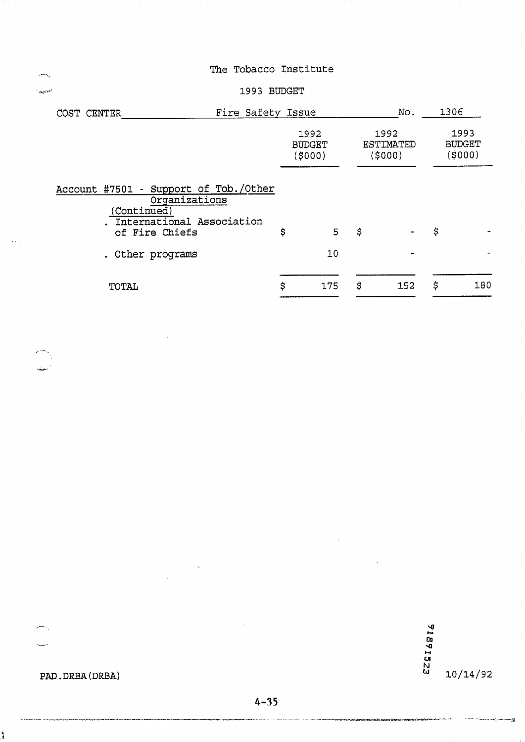#### +-.d **1993 BUDGET**

| Fire Safety Issue<br>COST CENTER                                                                                     |                                 |     |                              | No. | 1306                             |     |
|----------------------------------------------------------------------------------------------------------------------|---------------------------------|-----|------------------------------|-----|----------------------------------|-----|
|                                                                                                                      | 1992<br><b>BUDGET</b><br>(5000) |     | 1992<br>ESTIMATED<br>(\$000) |     | 1993<br><b>BUDGET</b><br>(\$000) |     |
| Account #7501 - Support of Tob./Other<br>Organizations<br>(Continued)<br>International Association<br>of Fire Chiefs | \$                              | 5   | \$                           |     | \$                               |     |
| Other programs                                                                                                       |                                 | 10  |                              |     |                                  |     |
| TOTAL                                                                                                                | \$                              | 175 | \$                           | 152 | \$                               | 180 |

91891523  $10/14/92$ 

# PAD. DRBA (DRBA)

 $\frac{1}{2}$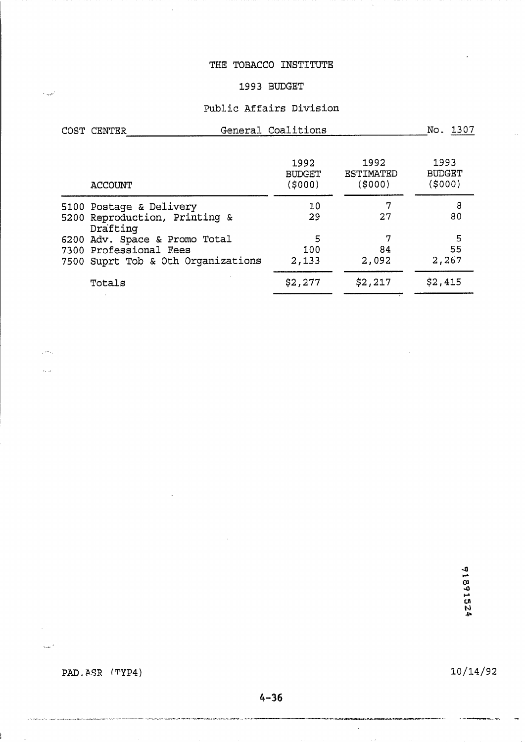# THE TOBACCO INSTITUTE

# **1993 BUDGET**

# **Public Affairs Division**

| COST CENTER                                                                                   | General Coalitions              |                             | No. 1307                        |  |  |
|-----------------------------------------------------------------------------------------------|---------------------------------|-----------------------------|---------------------------------|--|--|
| <b>ACCOUNT</b>                                                                                | 1992<br><b>BUDGET</b><br>(5000) | 1992<br>ESTIMATED<br>(5000) | 1993<br><b>BUDGET</b><br>(5000) |  |  |
| 5100 Postage & Delivery<br>5200 Reproduction, Printing &<br>Drafting                          | 10<br>29                        | 7<br>27                     | 8<br>80                         |  |  |
| 6200 Adv. Space & Promo Total<br>7300 Professional Fees<br>7500 Suprt Tob & Oth Organizations | 5<br>100<br>2,133               | 7<br>84<br>2,092            | 5<br>55<br>2,267                |  |  |
| Totals                                                                                        | \$2,277                         | \$2,217                     | \$2,415                         |  |  |

91891524

**PAD. &SR (TYP4)** 

البرياء

ويتعدل

 $10/14/92$ 

 $\hat{\mathcal{A}}$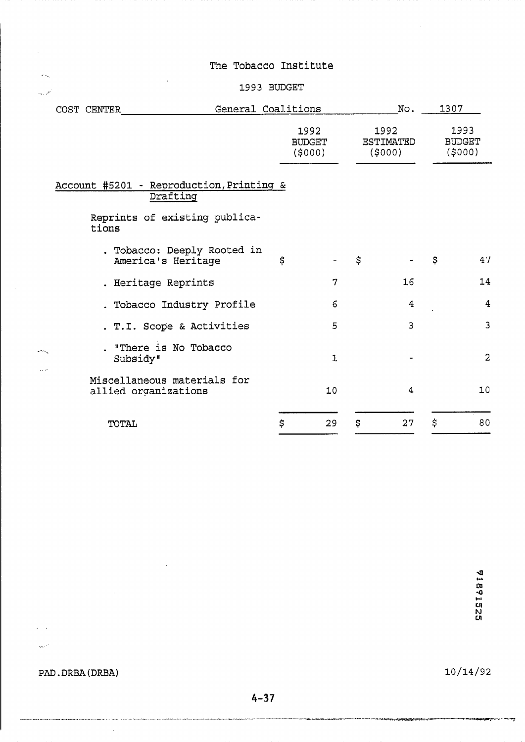# . . , :c- **1993 BUDGET**

|       |             | TOTAL              |                                                      |  | \$ | 29                              | \$   | 27 | \$ | 80                                 |  |                                 |
|-------|-------------|--------------------|------------------------------------------------------|--|----|---------------------------------|------|----|----|------------------------------------|--|---------------------------------|
|       |             |                    | Miscellaneous materials for<br>allied organizations  |  |    | 10                              |      | 4  |    | 10                                 |  |                                 |
| anna. |             | Subsidy"           | . "There is No Tobacco                               |  |    | $\mathbf{1}$                    |      |    |    | 2                                  |  |                                 |
|       |             |                    | . T.I. Scope & Activities                            |  |    | 5                               |      | 3  |    | $\overline{3}$                     |  |                                 |
|       |             |                    | . Tobacco Industry Profile                           |  |    | 6                               |      | 4  |    | $\overline{4}$                     |  |                                 |
|       |             |                    | . Heritage Reprints                                  |  |    | 7                               |      | 16 |    | 14                                 |  |                                 |
|       |             |                    | . Tobacco: Deeply Rooted in<br>America's Heritage    |  | \$ |                                 | \$   |    | \$ | 47                                 |  |                                 |
|       |             | tions              | Reprints of existing publica-                        |  |    |                                 |      |    |    |                                    |  |                                 |
|       |             |                    | Account #5201 - Reproduction, Printing &<br>Drafting |  |    |                                 |      |    |    |                                    |  |                                 |
|       |             |                    |                                                      |  |    | 1992<br><b>BUDGET</b><br>(5000) |      |    |    | 1992<br><b>ESTIMATED</b><br>(5000) |  | 1993<br><b>BUDGET</b><br>(5000) |
|       | COST CENTER | General Coalitions |                                                      |  |    | No.                             | 1307 |    |    |                                    |  |                                 |

PAD.DRBA(DRBA)

 $\sim$ 

.<br>The first of the first of the Contemplation Contemplation (CPC) and the contemplation (CPC) and the contemplation of

 $\sqrt{2}$ 

 $\sim$   $^{10}$ 

 $\hat{\mathcal{A}}$ 

 $\mathcal{L}_{\mathcal{A}}$ 

 $10/14/92$ 

.<br>Printender und satisfactio

**ARANGERYS AND A PROPER**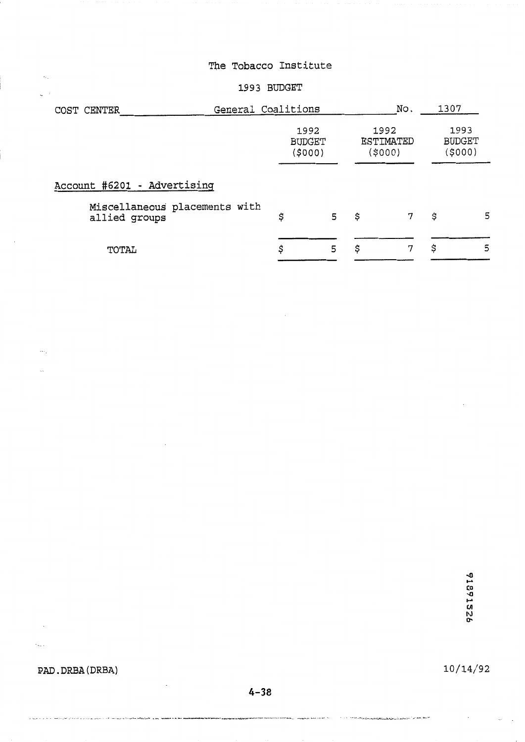#### **1993 BUDGET**

| COST CENTER                                    | General Coalitions              |   |    |                              | 1307 |                                 |
|------------------------------------------------|---------------------------------|---|----|------------------------------|------|---------------------------------|
|                                                | 1992<br><b>BUDGET</b><br>(5000) |   |    | 1992<br>ESTIMATED<br>(\$000) |      | 1993<br><b>BUDGET</b><br>(5000) |
| Account #6201 - Advertising                    |                                 |   |    |                              |      |                                 |
| Miscellaneous placements with<br>allied groups | \$                              | 5 | \$ | 7                            | \$   | 5                               |
| TOTAL                                          | \$                              | 5 | \$ | 7                            | \$   | 5                               |

### **PAD. DRBA (DRBA)**

 $\mathcal{A}$ 

 $\hat{\mathcal{A}}_{\text{max}}$ 

 $\mathcal{A}$ 

 $\mathbf{q}^{(i)}$  ,

 $\cdots$ 

ž,

10/14/92

 $4 - 38$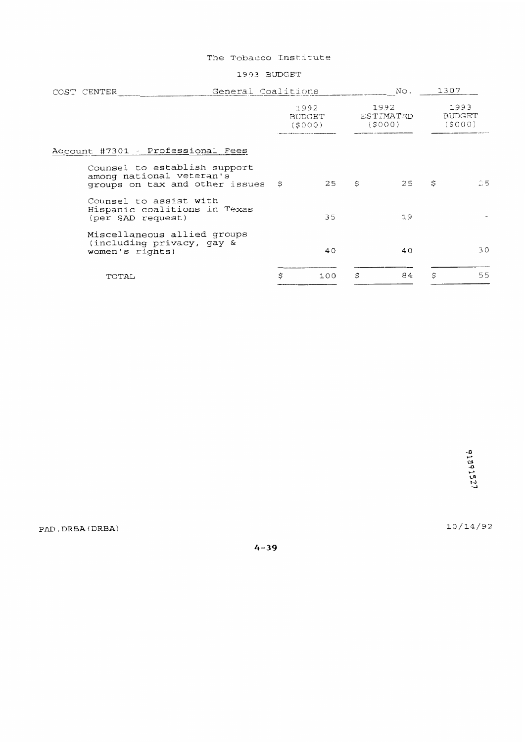#### 1993 BUDGET

| General Coalitions<br>COST CENTER                                                             |                                 |    | No.                         |    | 1307                            |  |
|-----------------------------------------------------------------------------------------------|---------------------------------|----|-----------------------------|----|---------------------------------|--|
|                                                                                               | 1992<br><b>BUDGET</b><br>(SOOO) |    | 1992<br>ESTIMATED<br>(S000) |    | 1993<br><b>BUDGET</b><br>(5000) |  |
| Account #7301 - Professional Fees                                                             |                                 |    |                             |    |                                 |  |
| Counsel to establish support<br>among national veteran's<br>groups on tax and other issues \$ | 25                              | S  | 25                          | S  | 25                              |  |
| Counsel to assist with<br>Hispanic coalitions in Texas<br>(per SAD request)                   | 35                              |    | 19                          |    |                                 |  |
| Miscellaneous allied groups<br>(including privacy, gay &<br>women's rights)                   | 40                              |    | 40                          |    | 30                              |  |
| TOTAL                                                                                         | \$<br>100                       | \$ | 84                          | \$ | 55                              |  |

10/14/92

PAD.DRBA(DRBA)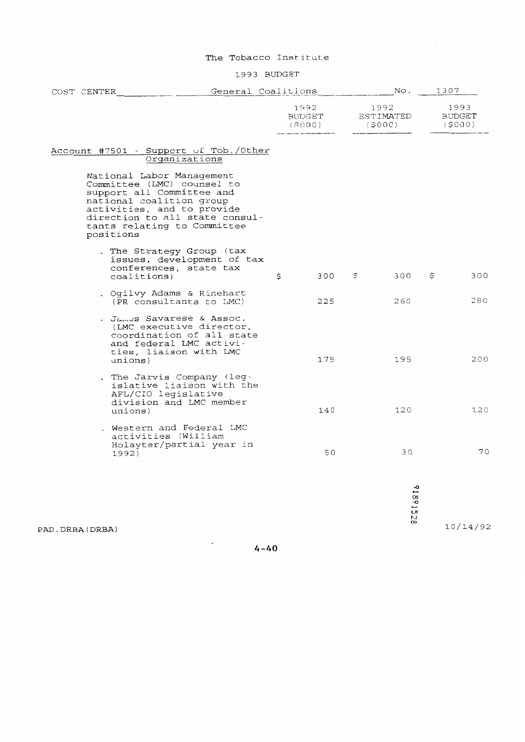#### 1993 BUDGET

| COST CENTER |             |                                                                                                                                                                                                                 | General Coalitions |    |                                 | No.                         | 1307 |                                 |
|-------------|-------------|-----------------------------------------------------------------------------------------------------------------------------------------------------------------------------------------------------------------|--------------------|----|---------------------------------|-----------------------------|------|---------------------------------|
|             |             |                                                                                                                                                                                                                 |                    |    | 1992<br><b>BUDGET</b><br>(S000) | 1992<br>ESTIMATED<br>(5000) |      | 1993<br><b>BUDGET</b><br>(5000) |
|             |             | Account #7501 - Support of Tob./Other<br>Organizations                                                                                                                                                          |                    |    |                                 |                             |      |                                 |
|             | positions   | National Labor Management<br>Committee (LMC) counsel to<br>support all Committee and<br>national coalition group<br>activities, and to provide<br>direction to all state consul-<br>tants relating to Committee |                    |    |                                 |                             |      |                                 |
|             | coalitions) | . The Strategy Group (tax<br>issues, development of tax<br>conferences, state tax                                                                                                                               |                    | \$ | 300                             | \$<br>300                   | \$   | 300                             |
|             |             | . Ogilvy Adams & Rinehart<br>(PR consultants to LMC)                                                                                                                                                            |                    |    | 225                             | 260                         |      | 280                             |
|             | unions)     | . James Savarese & Assoc.<br>(LMC executive director,<br>coordination of all state<br>and federal LMC activi-<br>ties, liaison with LMC                                                                         |                    |    | 175                             | 195                         |      | 200                             |
|             | unions)     | . The Jarvis Company (leg-<br>islative liaison with the<br>AFL/CIO legislative<br>division and LMC member                                                                                                       |                    |    | 140                             | 120                         |      | 120                             |
|             | 1992)       | . Western and Federal LMC<br>activities (William<br>Holayter/partial year in                                                                                                                                    |                    |    | 50                              | 30                          |      | 70                              |
|             |             |                                                                                                                                                                                                                 |                    |    |                                 | 918915<br>tJ<br>$\infty$    |      |                                 |

PAD.DRBA(DRBA)

 $4-40$ 

10/14/92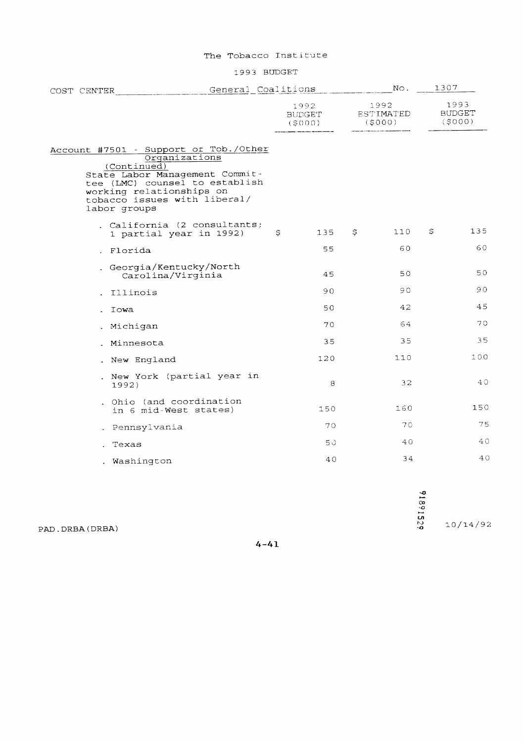1993 BUDGET

| COST CENTER |                                                                                                                                                                                                                       |  | General Coalitions |                          |    | $NQ$ .                      | 1307 |                                 |
|-------------|-----------------------------------------------------------------------------------------------------------------------------------------------------------------------------------------------------------------------|--|--------------------|--------------------------|----|-----------------------------|------|---------------------------------|
|             |                                                                                                                                                                                                                       |  |                    | 1992<br>BUDGET<br>(5000) |    | 1992<br>ESTIMATED<br>(5000) |      | 1993<br><b>BUDGET</b><br>(5000) |
|             | Account #7501 - Support of Tob./Other<br>Organizations<br>(Continued)<br>State Labor Management Commit-<br>tee (LMC) counsel to establish<br>working relationships on<br>tobacco issues with liberal/<br>labor groups |  |                    |                          |    |                             |      |                                 |
|             | . California (2 consultants;<br>1 partial year in 1992)                                                                                                                                                               |  | \$                 | 135                      | \$ | 110                         | \$   | 135                             |
|             | . Florida                                                                                                                                                                                                             |  |                    | 55                       |    | 60                          |      | 60                              |
|             | . Georgia/Kentucky/North<br>Carolina/Virginia                                                                                                                                                                         |  |                    | 45                       |    | 50                          |      | 50                              |
|             | Illinois                                                                                                                                                                                                              |  |                    | 90                       |    | 90                          |      | 90                              |
|             | Iowa                                                                                                                                                                                                                  |  |                    | 50                       |    | 42                          |      | 45                              |
|             | Michigan                                                                                                                                                                                                              |  |                    | 70                       |    | 64                          |      | 70                              |
|             | Minnesota                                                                                                                                                                                                             |  |                    | 35                       |    | 35                          |      | 35                              |
|             | . New England                                                                                                                                                                                                         |  |                    | 120                      |    | 110                         |      | 100                             |
|             | . New York (partial year in<br>1992)                                                                                                                                                                                  |  |                    | 8                        |    | 32                          |      | 40                              |
|             | Ohio (and coordination<br>in 6 mid-West states)                                                                                                                                                                       |  |                    | 150                      |    | 160                         |      | 150                             |
|             | Pennsylvania                                                                                                                                                                                                          |  |                    | 70                       |    | 70                          |      | 75                              |
|             | Texas                                                                                                                                                                                                                 |  |                    | 50                       |    | 40                          |      | 40                              |
|             | . Washington                                                                                                                                                                                                          |  |                    | 40                       |    | 34                          |      | 4 C                             |

91891529

 $10/14/92$ 

PAD. DRBA (DRBA)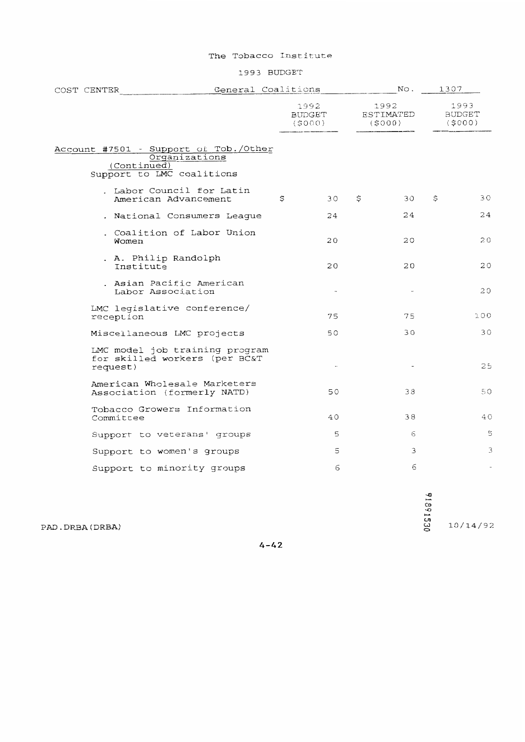#### 1993 BUDGET

| COST CENTER                                                                                        | General Coalitions |                                 |    | No.                         | 1307 |                          |
|----------------------------------------------------------------------------------------------------|--------------------|---------------------------------|----|-----------------------------|------|--------------------------|
|                                                                                                    |                    | 1992<br><b>BUDGET</b><br>(5000) |    | 1992<br>ESTIMATED<br>(S000) |      | 1993<br>BUDGET<br>(5000) |
| Account #7501 - Support of Tob./Other<br>Organizations<br>(Continued)<br>Support to LMC coalitions |                    |                                 |    |                             |      |                          |
| . Labor Council for Latin<br>American Advancement                                                  | \$                 | 30                              | \$ | 30                          | \$   | 30                       |
| . National Consumers League                                                                        |                    | 24                              |    | 24                          |      | 24                       |
| . Coalition of Labor Union<br>Women                                                                |                    | 20                              |    | 20                          |      | 20                       |
| . A. Philip Randolph<br>Institute                                                                  |                    | 20                              |    | 20                          |      | 20                       |
| . Asian Pacific American<br>Labor Association                                                      |                    |                                 |    | $\sim$                      |      | 20                       |
| LMC legislative conference/<br>reception                                                           |                    | 75                              |    | 75                          |      | 100                      |
| Miscellaneous LMC projects                                                                         |                    | 50                              |    | 30                          |      | 30                       |
| LMC model job training program<br>for skilled workers (per BC&T<br>request)                        |                    |                                 |    |                             |      | 25                       |
| American Wholesale Marketers<br>Association (formerly NATD)                                        |                    | 50                              |    | 38                          |      | 50                       |
| Tobacco Growers Information<br>Committee                                                           |                    | 40                              |    | 38                          |      | 4 C                      |
| Support to veterans' groups                                                                        |                    | 5                               |    | 6                           |      | 5                        |
| Support to women's groups                                                                          |                    | 5                               |    | 3                           |      | З                        |
| Support to minority groups                                                                         |                    | 6                               |    | 6                           |      |                          |

91991530  $10/14/92$ 

PAD.DRBA(DRBA)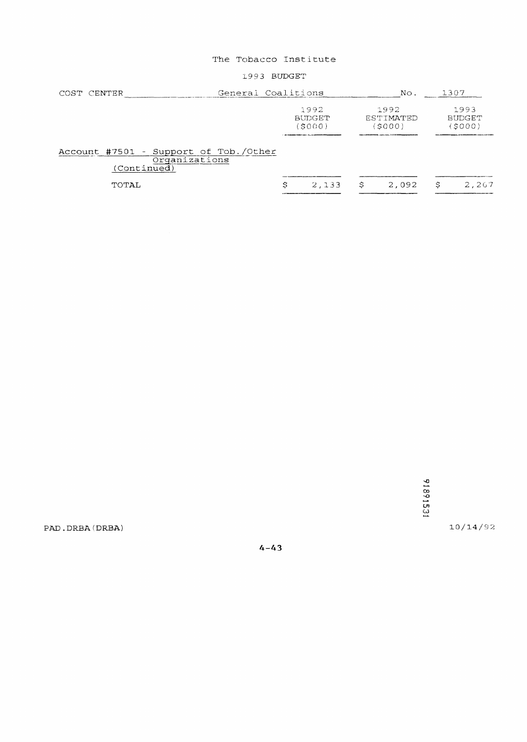#### 1993 BUDGET

| General Coalitions<br>COST CENTER                                     |               | No.              | 1307          |
|-----------------------------------------------------------------------|---------------|------------------|---------------|
|                                                                       | 1992          | 1992             | 1993          |
|                                                                       | <b>BUDGET</b> | <b>ESTIMATED</b> | <b>BUDGET</b> |
|                                                                       | (S000)        | (\$000)          | SOOO          |
| Account #7501 - Support of Tob./Other<br>Organizations<br>(Continued) |               |                  |               |
| TOTAL                                                                 | 2,133         | \$.              | 2,267         |
|                                                                       | Ŝ             | 2,092            | S             |

91891531

 $10/14/92$ 

PAD.DRBA(DRBA)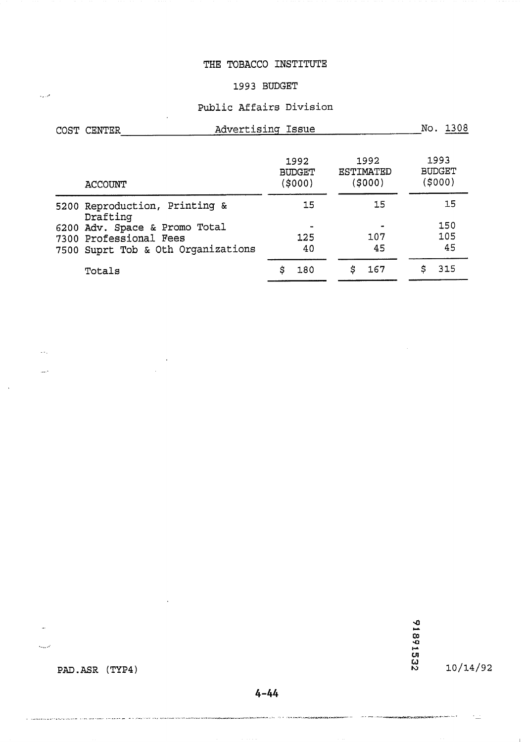# THE TOBACCO INSTITUTE

#### **1993 BUDGET**

# **Public Affairs Division**

| COST CENTER            |                                    | Advertising Issue                | No. 1308                            |                                  |
|------------------------|------------------------------------|----------------------------------|-------------------------------------|----------------------------------|
| <b>ACCOUNT</b>         |                                    | 1992<br><b>BUDGET</b><br>(\$000) | 1992<br><b>ESTIMATED</b><br>(\$000) | 1993<br><b>BUDGET</b><br>(\$000) |
| Drafting               | 5200 Reproduction, Printing &      | 15                               | 15                                  | 15                               |
|                        | 6200 Adv. Space & Promo Total      |                                  |                                     | 150                              |
| 7300 Professional Fees |                                    | 125                              | 107                                 | 105                              |
|                        | 7500 Suprt Tob & Oth Organizations | 40                               | 45                                  | 45                               |
| Totals                 |                                    | \$<br>180                        | \$<br>167                           | \$<br>315                        |

91891552

.<br>The more considerable

 $10/14/92$ 

PAD.ASR (TYP4)

.<br>To change the language properties of the company of the service of the company and interesting the members of

 $\sim 10^6$ 

 $\omega_{\rm eff}$ 

 $\Delta\Delta\phi$ 

 $\hat{G}_{\rm{max}}$ 

 $4 - 44$ 

—<br>«При постано с 1920 г. – 1920 г. – 1930 г. – 1940 г. – 1940 г. Бурна (1940), г. р. в Франция (1940), г. станов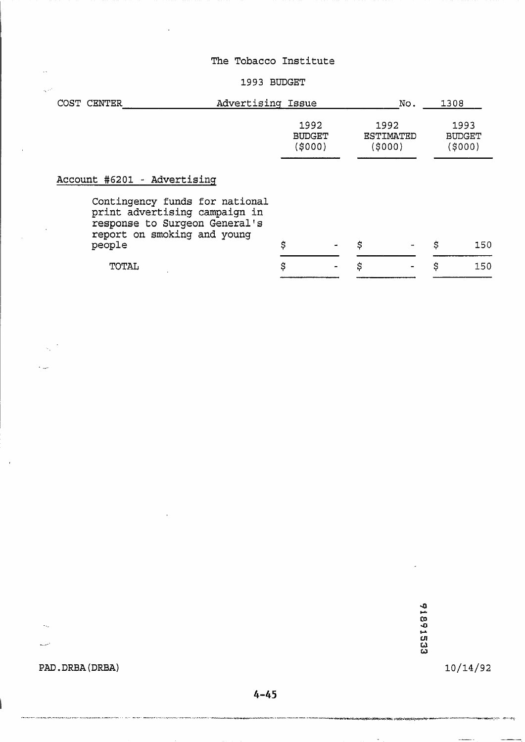#### 1993 BUDGET

| COST CENTER                                                                                                                               | Advertising Issue                |  |    | No.                                | 1308                            |  |
|-------------------------------------------------------------------------------------------------------------------------------------------|----------------------------------|--|----|------------------------------------|---------------------------------|--|
|                                                                                                                                           | 1992<br><b>BUDGET</b><br>(\$000) |  |    | 1992<br><b>ESTIMATED</b><br>(5000) | 1993<br><b>BUDGET</b><br>(5000) |  |
| Account #6201 - Advertising                                                                                                               |                                  |  |    |                                    |                                 |  |
| Contingency funds for national<br>print advertising campaign in<br>response to Surgeon General's<br>report on smoking and young<br>people | \$                               |  | \$ |                                    | \$<br>150                       |  |
| TOTAL                                                                                                                                     | \$                               |  | \$ |                                    | \$<br>150                       |  |

91891533

 $10/14/92$ 

**PAD. DRBA (DRBA)** 

 $\mathcal{A}_{\mathcal{A}}$ 

 $\mathbb{Z}^{(n)}$ 

a sa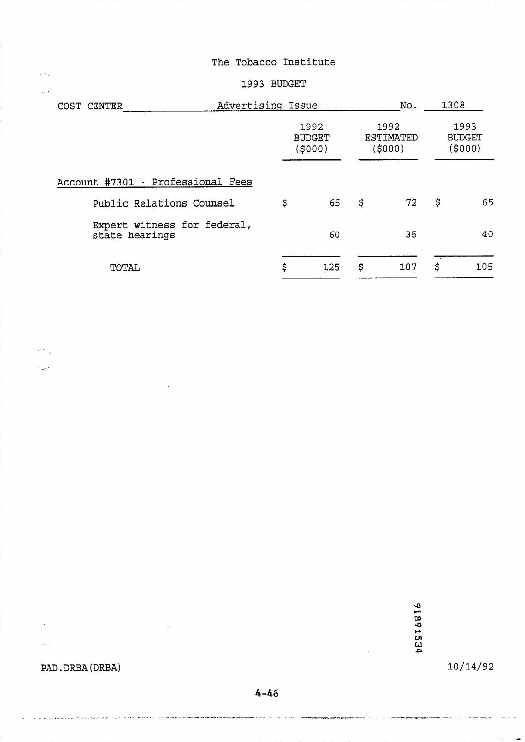# 1993 **BUDGET**

| COST CENTER                                   | Advertising Issue |                                 |    |                                     |    | 1308                            |  |
|-----------------------------------------------|-------------------|---------------------------------|----|-------------------------------------|----|---------------------------------|--|
|                                               |                   | 1992<br><b>BUDGET</b><br>(5000) |    | 1992<br><b>ESTIMATED</b><br>(\$000) |    | 1993<br><b>BUDGET</b><br>(5000) |  |
| Account #7301 - Professional Fees             |                   |                                 |    |                                     |    |                                 |  |
| Public Relations Counsel                      | \$                | 65                              | \$ | 72                                  | \$ | 65                              |  |
| Expert witness for federal,<br>state hearings |                   | 60                              |    | 35                                  |    | 40                              |  |
| TOTAL                                         | \$                | 125                             | \$ | 107                                 | \$ | 105                             |  |

91891534

# **PAD.** DRBA (DRBA)

 $\mathbf{w}(\mathbf{z})$  and  $\mathbf{w}(\mathbf{z})$  .

detection as a maximum and analysis of  $\Delta$  of  $\alpha$ 

 $\ddot{\phantom{a}}$ 

 $\sigma$  , there are  $\sigma$  is the constraints of  $\sigma$  -dependent on  $\sigma$ 

 $\sim$   $\sigma$   $_{\odot}$ 

 $\sim$   $^{\prime}$ 

 $\hat{\rho}$  ,  $\hat{\sigma}$ 

 $\sim$   $\sim$ 

 $\left\langle \phi^{\mu}\right\rangle _{0}$ 

المنهاد

 $10/14/92$ 

ia.

 $4 - 46$ 

.<br>Zaid Patri amethid ich Starnalijken and metal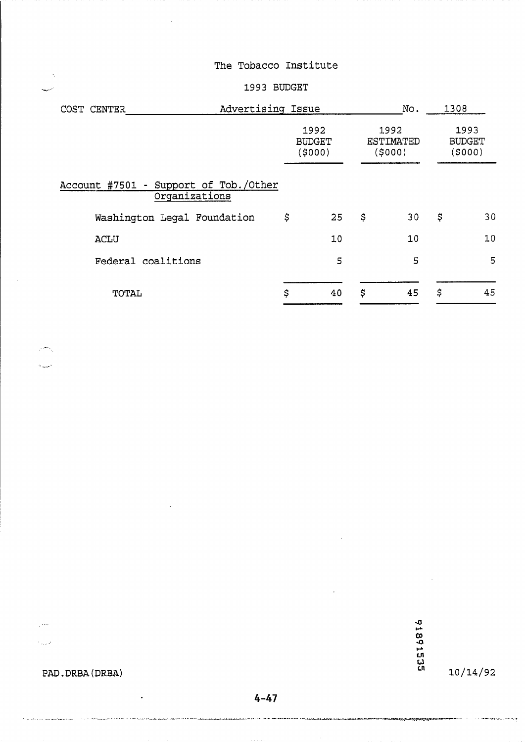#### **1993 BUDGET**

| Advertising Issue<br>COST CENTER                       |                                 |    | No.                                | 1308 |                                 |
|--------------------------------------------------------|---------------------------------|----|------------------------------------|------|---------------------------------|
|                                                        | 1992<br><b>BUDGET</b><br>(5000) |    | 1992<br><b>ESTIMATED</b><br>(5000) |      | 1993<br><b>BUDGET</b><br>(5000) |
| Account #7501 - Support of Tob./Other<br>Organizations |                                 |    |                                    |      |                                 |
| Washington Legal Foundation                            | \$                              | 25 | \$<br>30                           | \$   | 30                              |
| <b>ACLU</b>                                            |                                 | 10 | 10                                 |      | 10                              |
| Federal coalitions                                     |                                 | 5  | 5                                  |      | 5                               |
| TOTAL                                                  | \$                              | 40 | \$<br>45                           | \$   | 45                              |

 $\mathcal{P}^{\frac{1}{2}}$ 

الغريبيات

 $\mathcal{L}_1$ 

 $\hat{\gamma}_{\alpha\mu\sigma}$ 

.<br>Timografia kontra masa pilangkalan

**PAD. DRBA (DRBA)** 

 $\ddot{\phantom{a}}$ 

.<br>He came is a site of the state special problem in the first state of the first face development problem in the material

91891535

**ANG PANGSAN** 

 $10/14/92$ 

in in t<del>hom ure</del>ssaul (mellegae

المنسو

# $4 - 47$

.<br>Anglis në vitin mesonë e mbandhet në filohujtë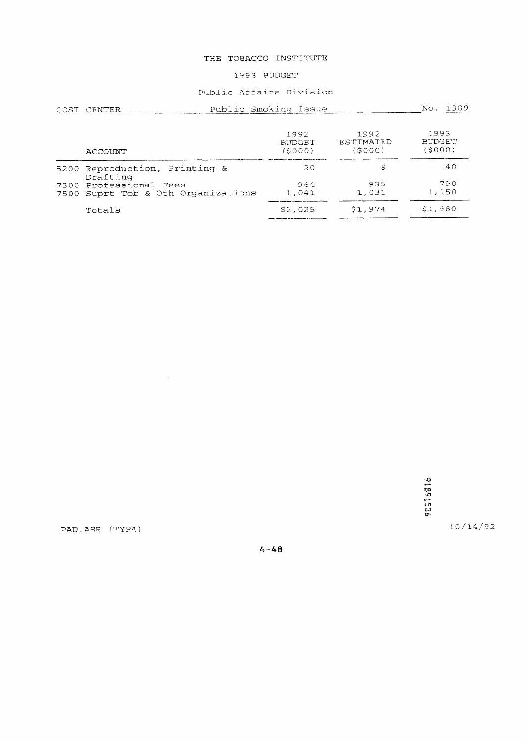#### THE TOBACCO INSTITUTE

#### 1993 BUDGET

#### Public Affairs Division

| COST CENTER                                                  | Public Smoking Issue            | No. 1309                     |                                 |
|--------------------------------------------------------------|---------------------------------|------------------------------|---------------------------------|
| ACCOUNT                                                      | 1992<br><b>BUDGET</b><br>(SOOO) | 1992<br>ESTIMATED<br>(\$000) | 1993<br><b>BUDGET</b><br>(5000) |
| 5200 Reproduction, Printing &<br>Drafting                    | 20                              | 8                            | 40                              |
| 7300 Professional Fees<br>7500 Suprt Tob & Oth Organizations | 964<br>1,041                    | 935<br>1,031                 | 790<br>1,150                    |
| Totals                                                       | \$2,025                         | \$1,974                      | \$1,980                         |

92516816

10/14/92

PAD.  $\triangle$ SR (TYP4)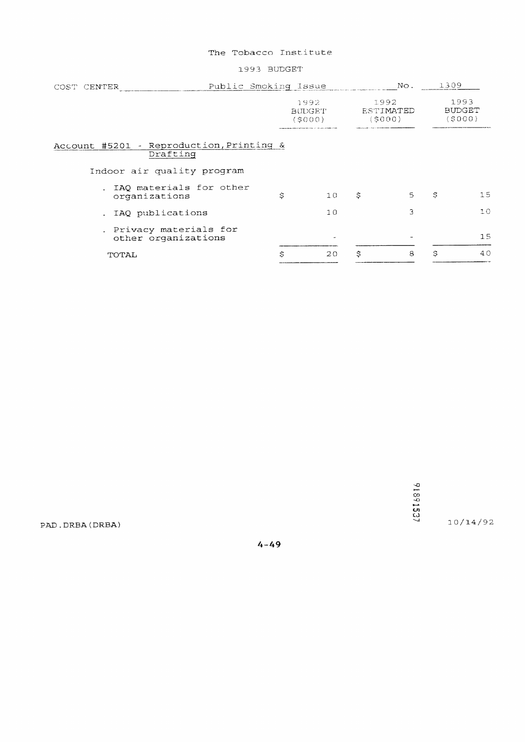#### 1993 BUDGET

| Public Smoking Issue<br>COST CENTER                  |                                                                                                           | No.                                | 1309 |                                 |
|------------------------------------------------------|-----------------------------------------------------------------------------------------------------------|------------------------------------|------|---------------------------------|
|                                                      | 1992<br><b>BUDGET</b><br>(5000)<br>the company of any or any other products of the company of the product | 1992<br><b>ESTIMATED</b><br>(SOOO) |      | 1993<br><b>BUDGET</b><br>(5000) |
| Account #5201 - Reproduction, Printing &<br>Drafting |                                                                                                           |                                    |      |                                 |
| Indoor air quality program                           |                                                                                                           |                                    |      |                                 |
| IAO materials for other<br>organizations             | \$<br>10                                                                                                  | \$<br>5                            | S    | 15                              |
| . IAQ publications                                   | 10                                                                                                        | 3                                  |      | 10                              |
| . Privacy materials for<br>other organizations       |                                                                                                           |                                    |      | 1.5                             |
| TOTAL                                                | \$<br>20                                                                                                  | \$<br>8                            | Ś    | 40                              |

91991537

 $10/14/92$ 

PAD.DRBA(DRBA)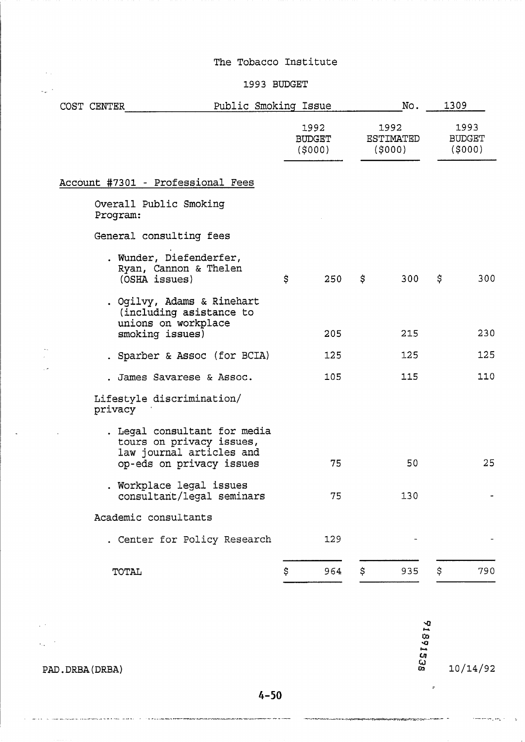# **1993** BUDGET

 $\sim 10$ 

 $\zeta_{\rm{m}}$  .

 $\bar{\mathbb{Z}}_n$ 

 $\ddot{\phantom{a}}$ 

| Public Smoking Issue<br>COST CENTER |                                                                                                                  |                          |     |                                    | No. | 1309                            |     |
|-------------------------------------|------------------------------------------------------------------------------------------------------------------|--------------------------|-----|------------------------------------|-----|---------------------------------|-----|
|                                     |                                                                                                                  | 1992<br>BUDGET<br>(5000) |     | 1992<br><b>ESTIMATED</b><br>(5000) |     | 1993<br><b>BUDGET</b><br>(5000) |     |
|                                     | Account #7301 - Professional Fees                                                                                |                          |     |                                    |     |                                 |     |
| Overall Public Smoking<br>Program:  |                                                                                                                  |                          |     |                                    |     |                                 |     |
|                                     | General consulting fees                                                                                          |                          |     |                                    |     |                                 |     |
| (OSHA issues)                       | . Wunder, Diefenderfer,<br>Ryan, Cannon & Thelen                                                                 | \$                       | 250 | \$                                 | 300 | \$                              | 300 |
|                                     | . Ogilvy, Adams & Rinehart<br>(including asistance to<br>unions on workplace<br>smoking issues)                  |                          | 205 |                                    | 215 |                                 | 230 |
|                                     | . Sparber & Assoc (for BCIA)                                                                                     |                          | 125 |                                    | 125 |                                 | 125 |
|                                     | . James Savarese & Assoc.                                                                                        |                          | 105 |                                    | 115 |                                 | 110 |
| privacy                             | Lifestyle discrimination/                                                                                        |                          |     |                                    |     |                                 |     |
|                                     | . Legal consultant for media<br>tours on privacy issues,<br>law journal articles and<br>op-eds on privacy issues |                          | 75  |                                    | 50  |                                 | 25  |
|                                     | . Workplace legal issues<br>consultant/legal seminars                                                            |                          | 75  |                                    | 130 |                                 |     |
| Academic consultants                |                                                                                                                  |                          |     |                                    |     |                                 |     |
|                                     | . Center for Policy Research                                                                                     |                          | 129 |                                    |     |                                 |     |
| TOTAL                               |                                                                                                                  | \$                       | 964 | \$                                 | 935 | \$                              | 790 |

86516816  $\sqrt{2}$  $\mathcal{L}_{\text{eff}}$  ,  $\mathcal{L}_{\text{eff}}$  $10/14/92$ PAD. DRBA (DRBA)  $\mathbf{r}$ 

# $4 - 50$

.<br>Alfa yezhoù elfa malav arvedennek en - elek ar vivervez

-<br>The company was also also as a conservative and the company of the conservative of the model of the company of the conservative of the company of the company of the company of the company of the company of the company of

 $\label{eq:R1} \begin{minipage}[t]{0.9\textwidth} {\begin{minipage}[t]{0.9\textwidth} {\begin{minipage}[t]{0.9\textwidth} {\begin{minipage}[t]{0.9\textwidth} {\begin{minipage}[t]{0.9\textwidth} {\begin{minipage}[t]{0.9\textwidth} {\begin{minipage}[t]{0.9\textwidth} {\begin{minipage}[t]{0.9\textwidth} {\begin{minipage}[t]{0.9\textwidth} {\begin{minipage}[t]{0.9\textwidth} {\begin{minipage}[t]{0.9\textwidth} {\begin{minipage}[t]{0.9\textwidth} {\begin{minipage}[t]{0.9\textwidth} {\begin{min$ 

 $\left\langle \frac{1}{2},\ldots,\frac{1}{2},\frac{1}{2},\ldots,\frac{1}{2}\right\rangle$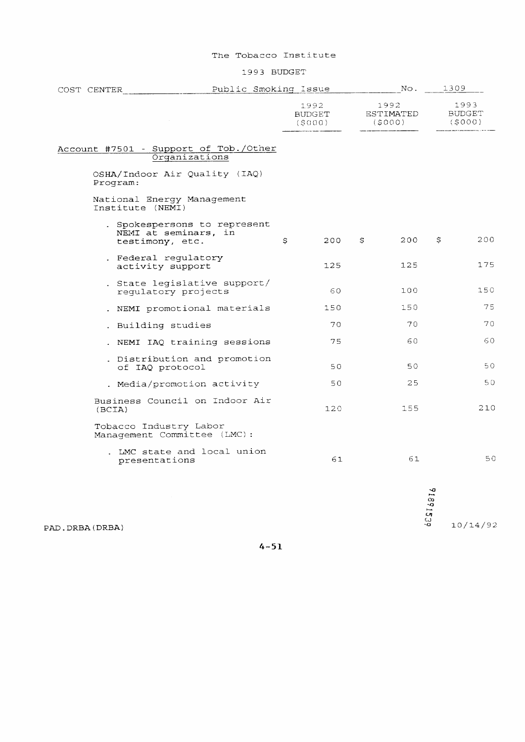#### 1993 BUDGET

| COST CENTER |                 | Public Smoking Issue                                                    |                                 |     |   | No.                         | 1309                                           |                                 |
|-------------|-----------------|-------------------------------------------------------------------------|---------------------------------|-----|---|-----------------------------|------------------------------------------------|---------------------------------|
|             |                 |                                                                         | 1992<br><b>BUDGET</b><br>(5000) |     |   | 1992<br>ESTIMATED<br>(5000) |                                                | 1993<br><b>BUDGET</b><br>(5000) |
|             |                 | Account #7501 - Support of Tob./Other<br>Organizations                  |                                 |     |   |                             |                                                |                                 |
|             | Program:        | OSHA/Indoor Air Quality (IAQ)                                           |                                 |     |   |                             |                                                |                                 |
|             |                 | National Energy Management<br>Institute (NEMI)                          |                                 |     |   |                             |                                                |                                 |
|             |                 | . Spokespersons to represent<br>NEMI at seminars, in<br>testimony, etc. | \$                              | 200 | S | 200                         | \$.                                            | 200                             |
|             |                 | . Federal regulatory<br>activity support                                |                                 | 125 |   | 125                         |                                                | 175                             |
|             |                 | . State legislative support/<br>regulatory projects                     |                                 | 60  |   | 100                         |                                                | 150                             |
|             |                 | . NEMI promotional materials                                            |                                 | 150 |   | 150                         |                                                | 75                              |
|             |                 | . Building studies                                                      |                                 | 70  |   | 70                          |                                                | 70                              |
|             |                 | NEMI IAQ training sessions                                              |                                 | 75  |   | 60                          |                                                | 60                              |
|             |                 | . Distribution and promotion<br>of IAQ protocol                         |                                 | 50  |   | 50                          |                                                | 50                              |
|             |                 | . Media/promotion activity                                              |                                 | 50  |   | 25                          |                                                | 50                              |
|             | (BCIA)          | Business Council on Indoor Air                                          |                                 | 120 |   | 155                         |                                                | 210                             |
|             |                 | Tobacco Industry Labor<br>Management Committee (LMC):                   |                                 |     |   |                             |                                                |                                 |
|             |                 | . LMC state and local union<br>presentations                            |                                 | 61  |   | 61                          |                                                | 50                              |
|             |                 |                                                                         |                                 |     |   | LJ.                         | $\tilde{z}$<br>$\infty$<br>$\frac{1}{2}$<br>CЛ |                                 |
|             | D . DRBA (DRBA) |                                                                         |                                 |     |   | ٠o                          |                                                | 10/14/92                        |

PAD.DRBA(DRBA)

 $4 - 51$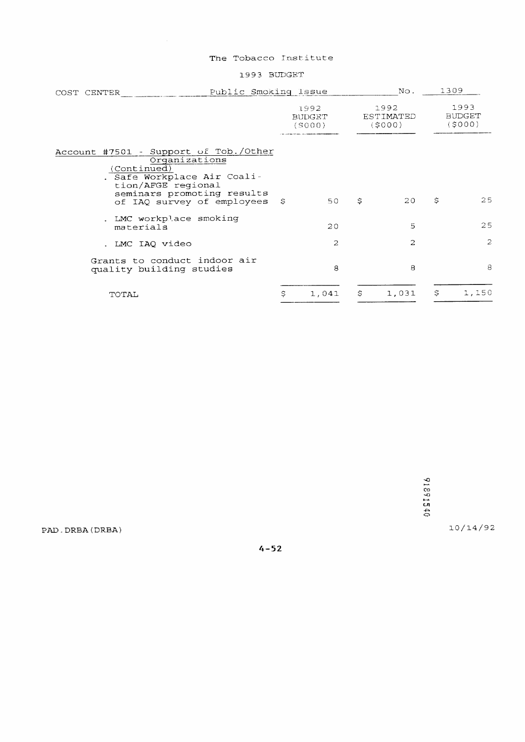#### 1993 BUDGET

| COST CENTER                                          | Public Smoking Issue                                                                                                              |                                 | No.           | 1309                        |                                 |
|------------------------------------------------------|-----------------------------------------------------------------------------------------------------------------------------------|---------------------------------|---------------|-----------------------------|---------------------------------|
|                                                      |                                                                                                                                   | 1992<br><b>BUDGET</b><br>(S000) |               | 1992<br>ESTIMATED<br>(5000) | 1993<br><b>BUDGET</b><br>(5000) |
| Account #7501 - Support of Tob./Other<br>(Continued) | Organizations<br>. Safe Workplace Air Coali-<br>tion/AFGE regional<br>seminars promoting results<br>of IAQ survey of employees \$ | 50                              | \$            | 20                          | \$<br>25                        |
| materials                                            | . LMC workplace smoking                                                                                                           | 20                              |               | 5                           | 25                              |
| . LMC IAQ video                                      |                                                                                                                                   | 2                               |               | $\overline{c}$              | $\overline{c}$                  |
| quality building studies                             | Grants to conduct indoor air                                                                                                      | 8                               |               | 8                           | 8                               |
| TOTAL                                                |                                                                                                                                   | \$<br>1,041                     | $\mathcal{S}$ | 1,031                       | \$<br>1,150                     |
|                                                      |                                                                                                                                   |                                 |               |                             |                                 |

91891540

10/14/92

PAD. DRBA (DRBA)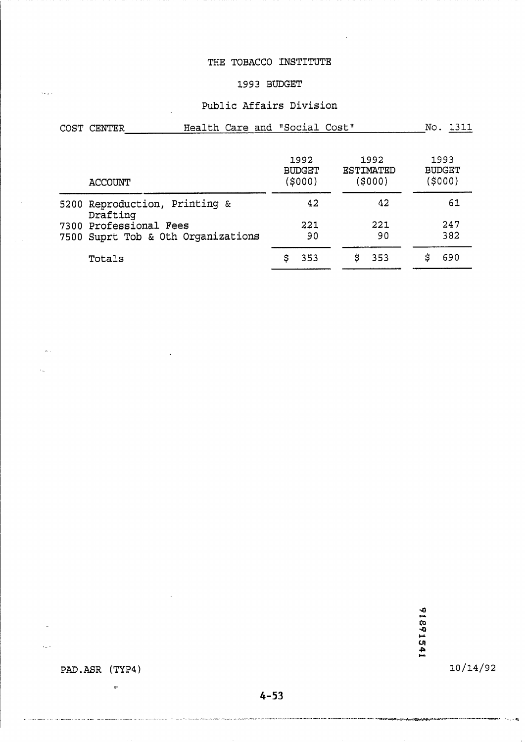# **THE TOBACCO INSTITUTE**

#### **1993 BUDGET**

#### **Public Affairs Division**

| COST<br>CENTER | Health Care and "Social Cost" |               |           | No.<br>רוכר   |
|----------------|-------------------------------|---------------|-----------|---------------|
|                |                               |               |           |               |
|                |                               | 1992          | 1992      | 1993          |
|                |                               | <b>BUDGET</b> | ESTIMATED | <b>BUDGET</b> |
| ---------      |                               | 140001        | 110001    | (4000)        |

| <b>ACCOUNT</b>                                               | (\$000)   | (SOOO)    | (SOOO)     |
|--------------------------------------------------------------|-----------|-----------|------------|
| 5200 Reproduction, Printing &<br>Drafting                    | 42        | 42        | 61         |
| 7300 Professional Fees<br>7500 Suprt Tob & Oth Organizations | 221<br>90 | 221<br>90 | 247<br>382 |
| Totals                                                       | \$353     | -353      | 690        |

91891541

 $10/14/92$ 

www.www.com.com

PAD.ASR (TYP4)

 $\pm$ 

.<br>Ada of an orthographical power not object that we make make them and the transferred to the transferred of the

الكريبة

 $\sim$  .

 $\ddot{\phantom{0}}$ 

 $\bar{\lambda}_{\rm{max}}$  .

 $\bar{\lambda}_\text{in}$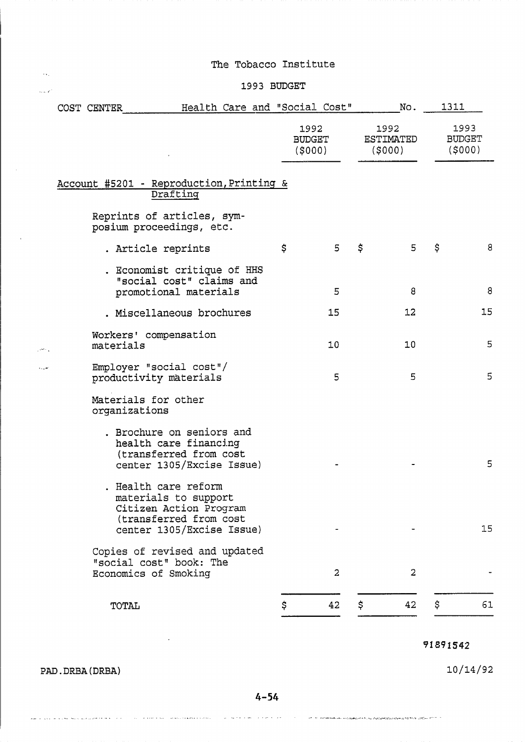# ,. 1993 BUDGET

| Health Care and "Social Cost"<br>COST CENTER                                                                                  |                                 |     | No.                                | 1311                            |
|-------------------------------------------------------------------------------------------------------------------------------|---------------------------------|-----|------------------------------------|---------------------------------|
|                                                                                                                               | 1992<br><b>BUDGET</b><br>(5000) |     | 1992<br><b>ESTIMATED</b><br>(5000) | 1993<br><b>BUDGET</b><br>(5000) |
| Account #5201 - Reproduction, Printing &<br>Drafting                                                                          |                                 |     |                                    |                                 |
| Reprints of articles, sym-<br>posium proceedings, etc.                                                                        |                                 |     |                                    |                                 |
| . Article reprints                                                                                                            | \$<br>5                         | \$. | 5                                  | \$<br>8                         |
| . Economist critique of HHS<br>"social cost" claims and<br>promotional materials                                              | 5                               |     | 8                                  | 8                               |
| . Miscellaneous brochures                                                                                                     | 15                              |     | 12                                 | 15                              |
| Workers' compensation<br>materials                                                                                            | 10                              |     | 10                                 | 5                               |
| Employer "social cost"/<br>productivity materials                                                                             | 5                               |     | 5                                  | 5                               |
| Materials for other<br>organizations                                                                                          |                                 |     |                                    |                                 |
| . Brochure on seniors and<br>health care financing<br>(transferred from cost<br>center 1305/Excise Issue)                     |                                 |     |                                    | 5                               |
| . Health care reform<br>materials to support<br>Citizen Action Program<br>(transferred from cost<br>center 1305/Excise Issue) |                                 |     |                                    | 15                              |
| Copies of revised and updated<br>"social cost" book: The<br>Economics of Smoking                                              | $\overline{2}$                  |     | $\overline{2}$                     |                                 |
| TOTAL                                                                                                                         | \$<br>42                        | \$  | 42                                 | \$<br>61                        |

# 91891542

 $10/14/92$ 

PAD. DRBA (DRBA)

 $\mathcal{A}_{\mathcal{A},\mathcal{C}}$ 

 $4 - 54$ 

where  $\hat{a}$  is a constant of the constant of the state of the  $\hat{a}$  -constant  $\label{eq:1} \hat{\beta}_{\rm eff} = \hat{\beta}_{\rm eff} + \hat{\beta}_{\rm eff} + \hat{\beta}_{\rm eff} + \hat{\beta}_{\rm eff} + \hat{\beta}_{\rm eff} + \hat{\beta}_{\rm eff} + \hat{\beta}_{\rm eff} + \hat{\beta}_{\rm eff} + \hat{\beta}_{\rm eff}$  $\zeta_{\rm m} \sim \sqrt{1-\zeta_{\rm m}}$  $\beta$  ,  $\alpha$  is a  $\beta$  -  $\alpha$ .<br>۱۳۰۰ - المرکزی شرف کرد و سیوه پروتوپستره برگزاری است. دهشتی هروان سال میشود است.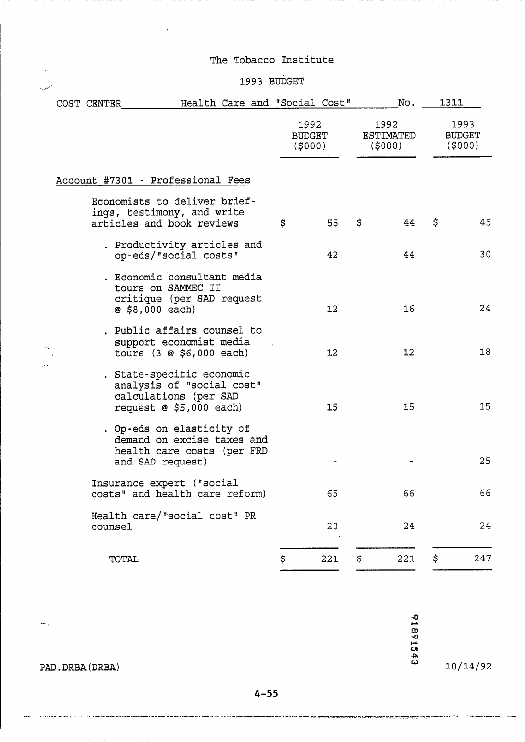# 1993 BUDGET

|      |  | COST CENTER | Health Care and "Social Cost"                                                                                |                          |     |                             | No. | 1311                             |     |
|------|--|-------------|--------------------------------------------------------------------------------------------------------------|--------------------------|-----|-----------------------------|-----|----------------------------------|-----|
|      |  |             |                                                                                                              | 1992<br>BUDGET<br>(5000) |     | 1992<br>ESTIMATED<br>(5000) |     | 1993<br><b>BUDGET</b><br>(\$000) |     |
|      |  |             | Account #7301 - Professional Fees                                                                            |                          |     |                             |     |                                  |     |
|      |  |             | Economists to deliver brief-<br>ings, testimony, and write<br>articles and book reviews                      | \$                       | 55  | \$                          | 44  | \$                               | 45  |
|      |  |             | . Productivity articles and<br>op-eds/"social costs"                                                         |                          | 42  |                             | 44  |                                  | 30  |
|      |  |             | . Economic consultant media<br>tours on SAMMEC II<br>critique (per SAD request<br>@ \$8,000 each)            |                          | 12  |                             | 16  |                                  | 24  |
|      |  |             | . Public affairs counsel to<br>support economist media<br>tours $(3 \oplus $6,000$ each)                     |                          | 12  |                             | 12  |                                  | 18  |
| ويرد |  |             | . State-specific economic<br>analysis of "social cost"<br>calculations (per SAD<br>request $@$ \$5,000 each) |                          | 15  |                             | 15  |                                  | 15  |
|      |  |             | . Op-eds on elasticity of<br>demand on excise taxes and<br>health care costs (per FRD<br>and SAD request)    |                          |     |                             |     |                                  | 25  |
|      |  |             | Insurance expert ("social<br>costs" and health care reform)                                                  |                          | 65  |                             | 66  |                                  | 66  |
|      |  | counsel     | Health care/"social cost" PR                                                                                 |                          | 20  |                             | 24  |                                  | 24  |
|      |  | TOTAL       |                                                                                                              | \$                       | 221 | \$                          | 221 | \$.                              | 247 |

91891543

 $10/14/92$ 

يشبب المسبب

PAD. DRBA (DRBA)

.<br>List site somen me mes para la la la parete

 $\sim 10^7$ 

 $\hat{\omega}_{\rm{m}}$  ,

 $\sim$ 

المتعفيت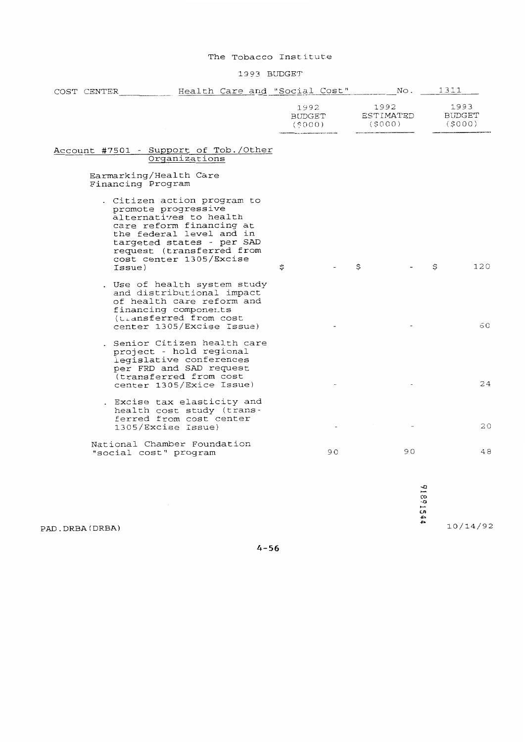1993 BUDGET

|  | COST CENTER       | Health Care and "Social Cost"                                                                                                                                                                                             |                                 |  |    |                             | No. | 1311                            |
|--|-------------------|---------------------------------------------------------------------------------------------------------------------------------------------------------------------------------------------------------------------------|---------------------------------|--|----|-----------------------------|-----|---------------------------------|
|  |                   |                                                                                                                                                                                                                           | 1992<br><b>BUDGET</b><br>(5000) |  |    | 1992<br>ESTIMATED<br>(5000) |     | 1993<br><b>BUDGET</b><br>(5000) |
|  |                   | Account #7501 - Support of Tob./Other<br>Organizations                                                                                                                                                                    |                                 |  |    |                             |     |                                 |
|  | Financing Program | Earmarking/Health Care                                                                                                                                                                                                    |                                 |  |    |                             |     |                                 |
|  | Issue)            | . Citizen action program to<br>promote progressive<br>alternatives to health<br>care reform financing at<br>the federal level and in<br>targeted states - per SAD<br>request (transferred from<br>cost center 1305/Excise | \$                              |  |    | \$                          |     | \$<br>120                       |
|  |                   | . Use of health system study<br>and distributional impact<br>of health care reform and<br>financing components<br>(transferred from cost<br>center 1305/Excise Issue)                                                     |                                 |  |    |                             |     | 60                              |
|  |                   | . Senior Citizen health care<br>project - hold regional<br>legislative conferences<br>per FRD and SAD request<br>(transferred from cost<br>center 1305/Exice Issue)                                                       |                                 |  |    |                             |     | 24                              |
|  |                   | . Excise tax elasticity and<br>health cost study (trans-<br>ferred from cost center<br>1305/Excise Issue)                                                                                                                 |                                 |  |    |                             |     | 20                              |
|  |                   | National Chamber Foundation<br>"social cost" program                                                                                                                                                                      |                                 |  | 90 |                             | 90  | 48                              |
|  |                   |                                                                                                                                                                                                                           |                                 |  |    |                             |     |                                 |

91891544

 $10/14/92$ 

 $4 - 56$ 

PAD.DRBA(DRBA)